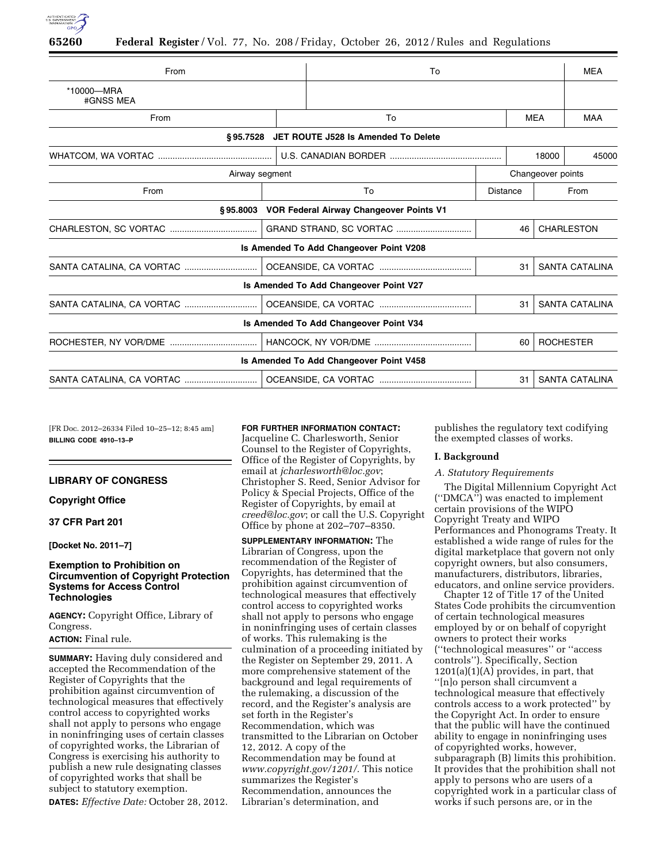

| From                                    |    | To                                      |                   |            |                       | <b>MEA</b>            |
|-----------------------------------------|----|-----------------------------------------|-------------------|------------|-----------------------|-----------------------|
| *10000-MRA<br>#GNSS MEA                 |    |                                         |                   |            |                       |                       |
| From                                    |    | To                                      |                   | <b>MEA</b> |                       | <b>MAA</b>            |
| §95.7528                                |    | JET ROUTE J528 Is Amended To Delete     |                   |            |                       |                       |
|                                         |    |                                         |                   | 18000      |                       | 45000                 |
| Airway segment                          |    |                                         | Changeover points |            |                       |                       |
| From                                    | To |                                         |                   | Distance   |                       | From                  |
| <b>§95.8003</b>                         |    | VOR Federal Airway Changeover Points V1 |                   |            |                       |                       |
|                                         |    |                                         |                   | 46         |                       | <b>CHARLESTON</b>     |
|                                         |    | Is Amended To Add Changeover Point V208 |                   |            |                       |                       |
|                                         |    |                                         |                   | 31         | <b>SANTA CATALINA</b> |                       |
|                                         |    | Is Amended To Add Changeover Point V27  |                   |            |                       |                       |
|                                         |    |                                         |                   | 31         | <b>SANTA CATALINA</b> |                       |
|                                         |    | Is Amended To Add Changeover Point V34  |                   |            |                       |                       |
|                                         |    |                                         |                   | 60         | <b>ROCHESTER</b>      |                       |
| Is Amended To Add Changeover Point V458 |    |                                         |                   |            |                       |                       |
|                                         |    |                                         |                   | 31         |                       | <b>SANTA CATALINA</b> |

[FR Doc. 2012–26334 Filed 10–25–12; 8:45 am] **BILLING CODE 4910–13–P** 

# **LIBRARY OF CONGRESS**

#### **Copyright Office**

#### **37 CFR Part 201**

**[Docket No. 2011–7]** 

# **Exemption to Prohibition on Circumvention of Copyright Protection Systems for Access Control Technologies**

**AGENCY:** Copyright Office, Library of Congress.

**ACTION:** Final rule.

**SUMMARY:** Having duly considered and accepted the Recommendation of the Register of Copyrights that the prohibition against circumvention of technological measures that effectively control access to copyrighted works shall not apply to persons who engage in noninfringing uses of certain classes of copyrighted works, the Librarian of Congress is exercising his authority to publish a new rule designating classes of copyrighted works that shall be subject to statutory exemption. **DATES:** *Effective Date:* October 28, 2012.

#### **FOR FURTHER INFORMATION CONTACT:**

Jacqueline C. Charlesworth, Senior Counsel to the Register of Copyrights, Office of the Register of Copyrights, by email at *[jcharlesworth@loc.gov](mailto:jcharlesworth@loc.gov)*; Christopher S. Reed, Senior Advisor for Policy & Special Projects, Office of the Register of Copyrights, by email at *[creed@loc.gov](mailto:creed@loc.gov)*; or call the U.S. Copyright Office by phone at 202–707–8350.

**SUPPLEMENTARY INFORMATION:** The Librarian of Congress, upon the recommendation of the Register of Copyrights, has determined that the prohibition against circumvention of technological measures that effectively control access to copyrighted works shall not apply to persons who engage in noninfringing uses of certain classes of works. This rulemaking is the culmination of a proceeding initiated by the Register on September 29, 2011. A more comprehensive statement of the background and legal requirements of the rulemaking, a discussion of the record, and the Register's analysis are set forth in the Register's Recommendation, which was transmitted to the Librarian on October 12, 2012. A copy of the Recommendation may be found at *[www.copyright.gov/1201/.](http://www.copyright.gov/1201/)* This notice summarizes the Register's Recommendation, announces the Librarian's determination, and

publishes the regulatory text codifying the exempted classes of works.

#### **I. Background**

#### *A. Statutory Requirements*

The Digital Millennium Copyright Act (''DMCA'') was enacted to implement certain provisions of the WIPO Copyright Treaty and WIPO Performances and Phonograms Treaty. It established a wide range of rules for the digital marketplace that govern not only copyright owners, but also consumers, manufacturers, distributors, libraries, educators, and online service providers.

Chapter 12 of Title 17 of the United States Code prohibits the circumvention of certain technological measures employed by or on behalf of copyright owners to protect their works (''technological measures'' or ''access controls''). Specifically, Section  $1201(a)(1)(A)$  provides, in part, that ''[n]o person shall circumvent a technological measure that effectively controls access to a work protected'' by the Copyright Act. In order to ensure that the public will have the continued ability to engage in noninfringing uses of copyrighted works, however, subparagraph (B) limits this prohibition. It provides that the prohibition shall not apply to persons who are users of a copyrighted work in a particular class of works if such persons are, or in the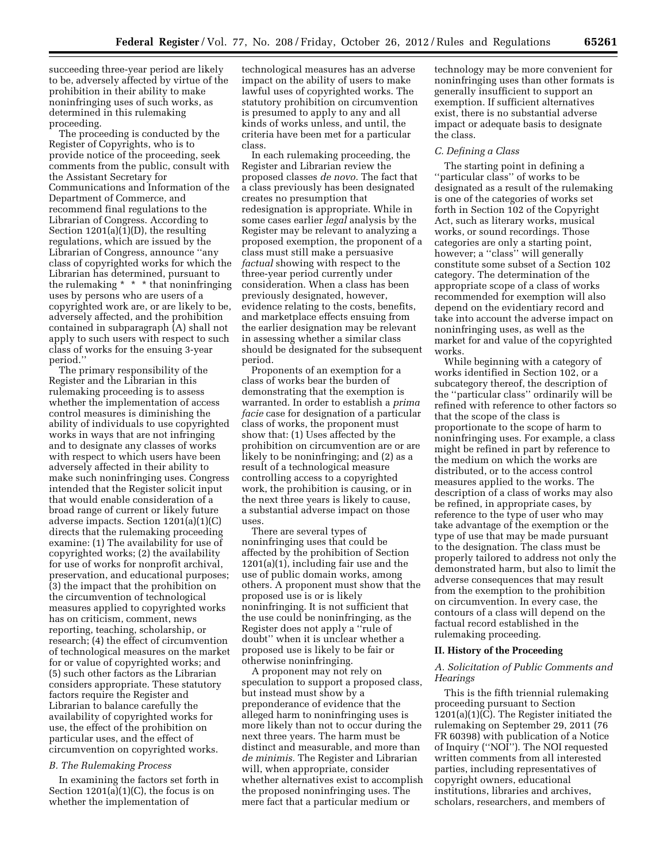succeeding three-year period are likely to be, adversely affected by virtue of the prohibition in their ability to make noninfringing uses of such works, as determined in this rulemaking proceeding.

The proceeding is conducted by the Register of Copyrights, who is to provide notice of the proceeding, seek comments from the public, consult with the Assistant Secretary for Communications and Information of the Department of Commerce, and recommend final regulations to the Librarian of Congress. According to Section 1201(a)(1)(D), the resulting regulations, which are issued by the Librarian of Congress, announce ''any class of copyrighted works for which the Librarian has determined, pursuant to the rulemaking \* \* \* that noninfringing uses by persons who are users of a copyrighted work are, or are likely to be, adversely affected, and the prohibition contained in subparagraph (A) shall not apply to such users with respect to such class of works for the ensuing 3-year period.''

The primary responsibility of the Register and the Librarian in this rulemaking proceeding is to assess whether the implementation of access control measures is diminishing the ability of individuals to use copyrighted works in ways that are not infringing and to designate any classes of works with respect to which users have been adversely affected in their ability to make such noninfringing uses. Congress intended that the Register solicit input that would enable consideration of a broad range of current or likely future adverse impacts. Section 1201(a)(1)(C) directs that the rulemaking proceeding examine: (1) The availability for use of copyrighted works; (2) the availability for use of works for nonprofit archival, preservation, and educational purposes; (3) the impact that the prohibition on the circumvention of technological measures applied to copyrighted works has on criticism, comment, news reporting, teaching, scholarship, or research; (4) the effect of circumvention of technological measures on the market for or value of copyrighted works; and (5) such other factors as the Librarian considers appropriate. These statutory factors require the Register and Librarian to balance carefully the availability of copyrighted works for use, the effect of the prohibition on particular uses, and the effect of circumvention on copyrighted works.

# *B. The Rulemaking Process*

In examining the factors set forth in Section  $1201(a)(1)(C)$ , the focus is on whether the implementation of

technological measures has an adverse impact on the ability of users to make lawful uses of copyrighted works. The statutory prohibition on circumvention is presumed to apply to any and all kinds of works unless, and until, the criteria have been met for a particular class.

In each rulemaking proceeding, the Register and Librarian review the proposed classes *de novo.* The fact that a class previously has been designated creates no presumption that redesignation is appropriate. While in some cases earlier *legal* analysis by the Register may be relevant to analyzing a proposed exemption, the proponent of a class must still make a persuasive *factual* showing with respect to the three-year period currently under consideration. When a class has been previously designated, however, evidence relating to the costs, benefits, and marketplace effects ensuing from the earlier designation may be relevant in assessing whether a similar class should be designated for the subsequent period.

Proponents of an exemption for a class of works bear the burden of demonstrating that the exemption is warranted. In order to establish a *prima facie* case for designation of a particular class of works, the proponent must show that: (1) Uses affected by the prohibition on circumvention are or are likely to be noninfringing; and (2) as a result of a technological measure controlling access to a copyrighted work, the prohibition is causing, or in the next three years is likely to cause, a substantial adverse impact on those uses.

There are several types of noninfringing uses that could be affected by the prohibition of Section 1201(a)(1), including fair use and the use of public domain works, among others. A proponent must show that the proposed use is or is likely noninfringing. It is not sufficient that the use could be noninfringing, as the Register does not apply a ''rule of doubt'' when it is unclear whether a proposed use is likely to be fair or otherwise noninfringing.

A proponent may not rely on speculation to support a proposed class, but instead must show by a preponderance of evidence that the alleged harm to noninfringing uses is more likely than not to occur during the next three years. The harm must be distinct and measurable, and more than *de minimis.* The Register and Librarian will, when appropriate, consider whether alternatives exist to accomplish the proposed noninfringing uses. The mere fact that a particular medium or

technology may be more convenient for noninfringing uses than other formats is generally insufficient to support an exemption. If sufficient alternatives exist, there is no substantial adverse impact or adequate basis to designate the class.

#### *C. Defining a Class*

The starting point in defining a ''particular class'' of works to be designated as a result of the rulemaking is one of the categories of works set forth in Section 102 of the Copyright Act, such as literary works, musical works, or sound recordings. Those categories are only a starting point, however; a ''class'' will generally constitute some subset of a Section 102 category. The determination of the appropriate scope of a class of works recommended for exemption will also depend on the evidentiary record and take into account the adverse impact on noninfringing uses, as well as the market for and value of the copyrighted works.

While beginning with a category of works identified in Section 102, or a subcategory thereof, the description of the ''particular class'' ordinarily will be refined with reference to other factors so that the scope of the class is proportionate to the scope of harm to noninfringing uses. For example, a class might be refined in part by reference to the medium on which the works are distributed, or to the access control measures applied to the works. The description of a class of works may also be refined, in appropriate cases, by reference to the type of user who may take advantage of the exemption or the type of use that may be made pursuant to the designation. The class must be properly tailored to address not only the demonstrated harm, but also to limit the adverse consequences that may result from the exemption to the prohibition on circumvention. In every case, the contours of a class will depend on the factual record established in the rulemaking proceeding.

#### **II. History of the Proceeding**

# *A. Solicitation of Public Comments and Hearings*

This is the fifth triennial rulemaking proceeding pursuant to Section 1201(a)(1)(C). The Register initiated the rulemaking on September 29, 2011 (76 FR 60398) with publication of a Notice of Inquiry (''NOI''). The NOI requested written comments from all interested parties, including representatives of copyright owners, educational institutions, libraries and archives, scholars, researchers, and members of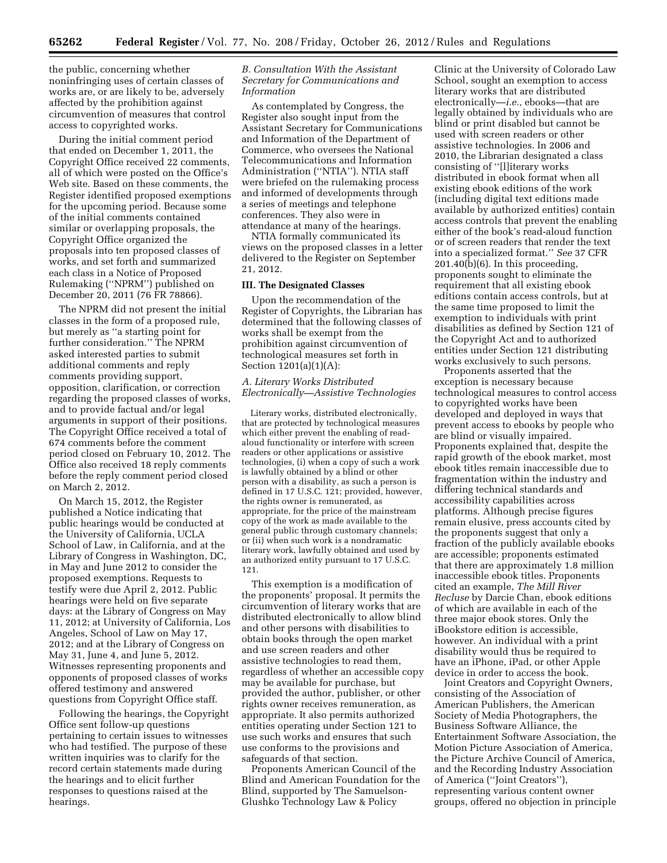the public, concerning whether noninfringing uses of certain classes of works are, or are likely to be, adversely affected by the prohibition against circumvention of measures that control access to copyrighted works.

During the initial comment period that ended on December 1, 2011, the Copyright Office received 22 comments, all of which were posted on the Office's Web site. Based on these comments, the Register identified proposed exemptions for the upcoming period. Because some of the initial comments contained similar or overlapping proposals, the Copyright Office organized the proposals into ten proposed classes of works, and set forth and summarized each class in a Notice of Proposed Rulemaking (''NPRM'') published on December 20, 2011 (76 FR 78866).

The NPRM did not present the initial classes in the form of a proposed rule, but merely as ''a starting point for further consideration.'' The NPRM asked interested parties to submit additional comments and reply comments providing support, opposition, clarification, or correction regarding the proposed classes of works, and to provide factual and/or legal arguments in support of their positions. The Copyright Office received a total of 674 comments before the comment period closed on February 10, 2012. The Office also received 18 reply comments before the reply comment period closed on March 2, 2012.

On March 15, 2012, the Register published a Notice indicating that public hearings would be conducted at the University of California, UCLA School of Law, in California, and at the Library of Congress in Washington, DC, in May and June 2012 to consider the proposed exemptions. Requests to testify were due April 2, 2012. Public hearings were held on five separate days: at the Library of Congress on May 11, 2012; at University of California, Los Angeles, School of Law on May 17, 2012; and at the Library of Congress on May 31, June 4, and June 5, 2012. Witnesses representing proponents and opponents of proposed classes of works offered testimony and answered questions from Copyright Office staff.

Following the hearings, the Copyright Office sent follow-up questions pertaining to certain issues to witnesses who had testified. The purpose of these written inquiries was to clarify for the record certain statements made during the hearings and to elicit further responses to questions raised at the hearings.

### *B. Consultation With the Assistant Secretary for Communications and Information*

As contemplated by Congress, the Register also sought input from the Assistant Secretary for Communications and Information of the Department of Commerce, who oversees the National Telecommunications and Information Administration (''NTIA''). NTIA staff were briefed on the rulemaking process and informed of developments through a series of meetings and telephone conferences. They also were in attendance at many of the hearings.

NTIA formally communicated its views on the proposed classes in a letter delivered to the Register on September 21, 2012.

### **III. The Designated Classes**

Upon the recommendation of the Register of Copyrights, the Librarian has determined that the following classes of works shall be exempt from the prohibition against circumvention of technological measures set forth in Section 1201(a)(1)(A):

## *A. Literary Works Distributed Electronically—Assistive Technologies*

Literary works, distributed electronically, that are protected by technological measures which either prevent the enabling of readaloud functionality or interfere with screen readers or other applications or assistive technologies, (i) when a copy of such a work is lawfully obtained by a blind or other person with a disability, as such a person is defined in 17 U.S.C. 121; provided, however, the rights owner is remunerated, as appropriate, for the price of the mainstream copy of the work as made available to the general public through customary channels; or (ii) when such work is a nondramatic literary work, lawfully obtained and used by an authorized entity pursuant to 17 U.S.C. 121.

This exemption is a modification of the proponents' proposal. It permits the circumvention of literary works that are distributed electronically to allow blind and other persons with disabilities to obtain books through the open market and use screen readers and other assistive technologies to read them, regardless of whether an accessible copy may be available for purchase, but provided the author, publisher, or other rights owner receives remuneration, as appropriate. It also permits authorized entities operating under Section 121 to use such works and ensures that such use conforms to the provisions and safeguards of that section.

Proponents American Council of the Blind and American Foundation for the Blind, supported by The Samuelson-Glushko Technology Law & Policy

Clinic at the University of Colorado Law School, sought an exemption to access literary works that are distributed electronically—*i.e.,* ebooks—that are legally obtained by individuals who are blind or print disabled but cannot be used with screen readers or other assistive technologies. In 2006 and 2010, the Librarian designated a class consisting of ''[l]iterary works distributed in ebook format when all existing ebook editions of the work (including digital text editions made available by authorized entities) contain access controls that prevent the enabling either of the book's read-aloud function or of screen readers that render the text into a specialized format.'' *See* 37 CFR  $201.40(b)(6)$ . In this proceeding, proponents sought to eliminate the requirement that all existing ebook editions contain access controls, but at the same time proposed to limit the exemption to individuals with print disabilities as defined by Section 121 of the Copyright Act and to authorized entities under Section 121 distributing works exclusively to such persons.

Proponents asserted that the exception is necessary because technological measures to control access to copyrighted works have been developed and deployed in ways that prevent access to ebooks by people who are blind or visually impaired. Proponents explained that, despite the rapid growth of the ebook market, most ebook titles remain inaccessible due to fragmentation within the industry and differing technical standards and accessibility capabilities across platforms. Although precise figures remain elusive, press accounts cited by the proponents suggest that only a fraction of the publicly available ebooks are accessible; proponents estimated that there are approximately 1.8 million inaccessible ebook titles. Proponents cited an example, *The Mill River Recluse* by Darcie Chan, ebook editions of which are available in each of the three major ebook stores. Only the iBookstore edition is accessible, however. An individual with a print disability would thus be required to have an iPhone, iPad, or other Apple device in order to access the book.

Joint Creators and Copyright Owners, consisting of the Association of American Publishers, the American Society of Media Photographers, the Business Software Alliance, the Entertainment Software Association, the Motion Picture Association of America, the Picture Archive Council of America, and the Recording Industry Association of America (''Joint Creators''), representing various content owner groups, offered no objection in principle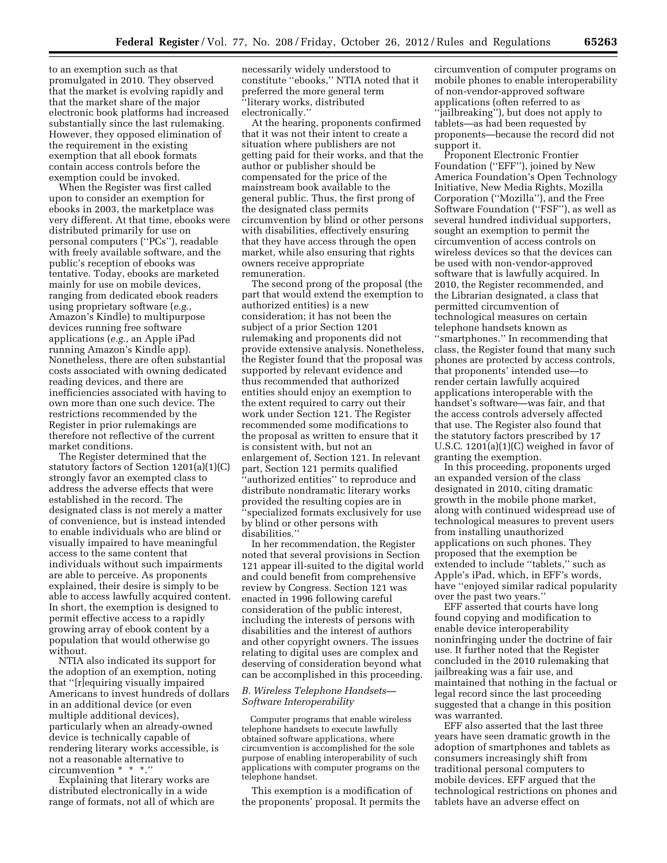to an exemption such as that promulgated in 2010. They observed that the market is evolving rapidly and that the market share of the major electronic book platforms had increased substantially since the last rulemaking. However, they opposed elimination of the requirement in the existing exemption that all ebook formats contain access controls before the exemption could be invoked.

When the Register was first called upon to consider an exemption for ebooks in 2003, the marketplace was very different. At that time, ebooks were distributed primarily for use on personal computers (''PCs''), readable with freely available software, and the public's reception of ebooks was tentative. Today, ebooks are marketed mainly for use on mobile devices, ranging from dedicated ebook readers using proprietary software (*e.g.,*  Amazon's Kindle) to multipurpose devices running free software applications (*e.g.,* an Apple iPad running Amazon's Kindle app). Nonetheless, there are often substantial costs associated with owning dedicated reading devices, and there are inefficiencies associated with having to own more than one such device. The restrictions recommended by the Register in prior rulemakings are therefore not reflective of the current market conditions.

The Register determined that the statutory factors of Section 1201(a)(1)(C) strongly favor an exempted class to address the adverse effects that were established in the record. The designated class is not merely a matter of convenience, but is instead intended to enable individuals who are blind or visually impaired to have meaningful access to the same content that individuals without such impairments are able to perceive. As proponents explained, their desire is simply to be able to access lawfully acquired content. In short, the exemption is designed to permit effective access to a rapidly growing array of ebook content by a population that would otherwise go without.

NTIA also indicated its support for the adoption of an exemption, noting that ''[r]equiring visually impaired Americans to invest hundreds of dollars in an additional device (or even multiple additional devices), particularly when an already-owned device is technically capable of rendering literary works accessible, is not a reasonable alternative to circumvention \* \* \*.''

Explaining that literary works are distributed electronically in a wide range of formats, not all of which are necessarily widely understood to constitute ''ebooks,'' NTIA noted that it preferred the more general term ''literary works, distributed electronically.''

At the hearing, proponents confirmed that it was not their intent to create a situation where publishers are not getting paid for their works, and that the author or publisher should be compensated for the price of the mainstream book available to the general public. Thus, the first prong of the designated class permits circumvention by blind or other persons with disabilities, effectively ensuring that they have access through the open market, while also ensuring that rights owners receive appropriate remuneration.

The second prong of the proposal (the part that would extend the exemption to authorized entities) is a new consideration; it has not been the subject of a prior Section 1201 rulemaking and proponents did not provide extensive analysis. Nonetheless, the Register found that the proposal was supported by relevant evidence and thus recommended that authorized entities should enjoy an exemption to the extent required to carry out their work under Section 121. The Register recommended some modifications to the proposal as written to ensure that it is consistent with, but not an enlargement of, Section 121. In relevant part, Section 121 permits qualified ''authorized entities'' to reproduce and distribute nondramatic literary works provided the resulting copies are in 'specialized formats exclusively for use by blind or other persons with disabilities.''

In her recommendation, the Register noted that several provisions in Section 121 appear ill-suited to the digital world and could benefit from comprehensive review by Congress. Section 121 was enacted in 1996 following careful consideration of the public interest, including the interests of persons with disabilities and the interest of authors and other copyright owners. The issues relating to digital uses are complex and deserving of consideration beyond what can be accomplished in this proceeding.

#### *B. Wireless Telephone Handsets— Software Interoperability*

Computer programs that enable wireless telephone handsets to execute lawfully obtained software applications, where circumvention is accomplished for the sole purpose of enabling interoperability of such applications with computer programs on the telephone handset.

This exemption is a modification of the proponents' proposal. It permits the circumvention of computer programs on mobile phones to enable interoperability of non-vendor-approved software applications (often referred to as ''jailbreaking''), but does not apply to tablets—as had been requested by proponents—because the record did not support it.

Proponent Electronic Frontier Foundation (''EFF''), joined by New America Foundation's Open Technology Initiative, New Media Rights, Mozilla Corporation (''Mozilla''), and the Free Software Foundation (''FSF''), as well as several hundred individual supporters, sought an exemption to permit the circumvention of access controls on wireless devices so that the devices can be used with non-vendor-approved software that is lawfully acquired. In 2010, the Register recommended, and the Librarian designated, a class that permitted circumvention of technological measures on certain telephone handsets known as ''smartphones.'' In recommending that class, the Register found that many such phones are protected by access controls, that proponents' intended use—to render certain lawfully acquired applications interoperable with the handset's software—was fair, and that the access controls adversely affected that use. The Register also found that the statutory factors prescribed by 17 U.S.C. 1201(a)(1)(C) weighed in favor of granting the exemption.

In this proceeding, proponents urged an expanded version of the class designated in 2010, citing dramatic growth in the mobile phone market, along with continued widespread use of technological measures to prevent users from installing unauthorized applications on such phones. They proposed that the exemption be extended to include ''tablets,'' such as Apple's iPad, which, in EFF's words, have ''enjoyed similar radical popularity over the past two years.''

EFF asserted that courts have long found copying and modification to enable device interoperability noninfringing under the doctrine of fair use. It further noted that the Register concluded in the 2010 rulemaking that jailbreaking was a fair use, and maintained that nothing in the factual or legal record since the last proceeding suggested that a change in this position was warranted.

EFF also asserted that the last three years have seen dramatic growth in the adoption of smartphones and tablets as consumers increasingly shift from traditional personal computers to mobile devices. EFF argued that the technological restrictions on phones and tablets have an adverse effect on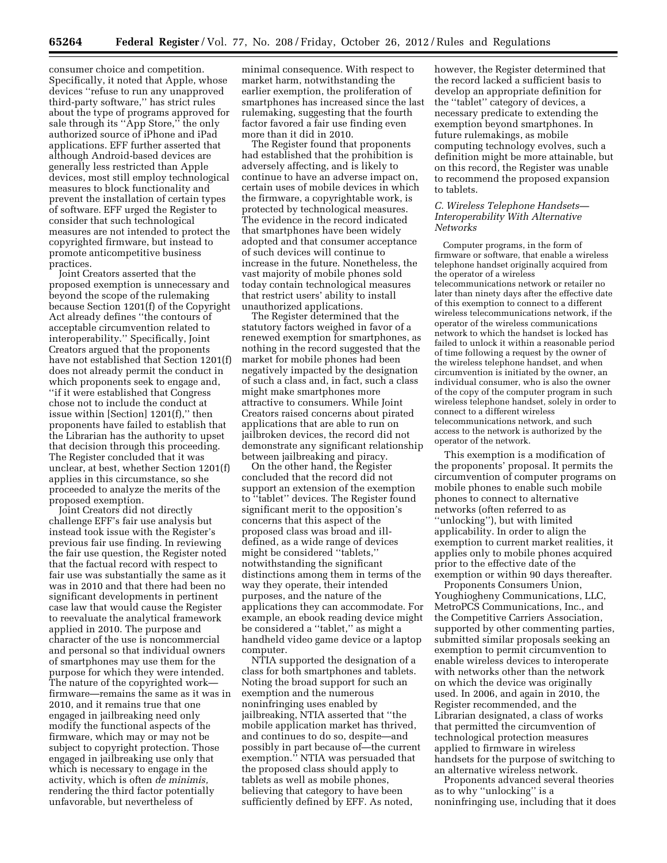consumer choice and competition. Specifically, it noted that Apple, whose devices ''refuse to run any unapproved third-party software,'' has strict rules about the type of programs approved for sale through its "App Store," the only authorized source of iPhone and iPad applications. EFF further asserted that although Android-based devices are generally less restricted than Apple devices, most still employ technological measures to block functionality and prevent the installation of certain types of software. EFF urged the Register to consider that such technological measures are not intended to protect the copyrighted firmware, but instead to promote anticompetitive business practices.

Joint Creators asserted that the proposed exemption is unnecessary and beyond the scope of the rulemaking because Section 1201(f) of the Copyright Act already defines ''the contours of acceptable circumvention related to interoperability.'' Specifically, Joint Creators argued that the proponents have not established that Section 1201(f) does not already permit the conduct in which proponents seek to engage and, ''if it were established that Congress chose not to include the conduct at issue within [Section] 1201(f)," then proponents have failed to establish that the Librarian has the authority to upset that decision through this proceeding. The Register concluded that it was unclear, at best, whether Section 1201(f) applies in this circumstance, so she proceeded to analyze the merits of the proposed exemption.

Joint Creators did not directly challenge EFF's fair use analysis but instead took issue with the Register's previous fair use finding. In reviewing the fair use question, the Register noted that the factual record with respect to fair use was substantially the same as it was in 2010 and that there had been no significant developments in pertinent case law that would cause the Register to reevaluate the analytical framework applied in 2010. The purpose and character of the use is noncommercial and personal so that individual owners of smartphones may use them for the purpose for which they were intended. The nature of the copyrighted work firmware—remains the same as it was in 2010, and it remains true that one engaged in jailbreaking need only modify the functional aspects of the firmware, which may or may not be subject to copyright protection. Those engaged in jailbreaking use only that which is necessary to engage in the activity, which is often *de minimis,*  rendering the third factor potentially unfavorable, but nevertheless of

minimal consequence. With respect to market harm, notwithstanding the earlier exemption, the proliferation of smartphones has increased since the last rulemaking, suggesting that the fourth factor favored a fair use finding even more than it did in 2010.

The Register found that proponents had established that the prohibition is adversely affecting, and is likely to continue to have an adverse impact on, certain uses of mobile devices in which the firmware, a copyrightable work, is protected by technological measures. The evidence in the record indicated that smartphones have been widely adopted and that consumer acceptance of such devices will continue to increase in the future. Nonetheless, the vast majority of mobile phones sold today contain technological measures that restrict users' ability to install unauthorized applications.

The Register determined that the statutory factors weighed in favor of a renewed exemption for smartphones, as nothing in the record suggested that the market for mobile phones had been negatively impacted by the designation of such a class and, in fact, such a class might make smartphones more attractive to consumers. While Joint Creators raised concerns about pirated applications that are able to run on jailbroken devices, the record did not demonstrate any significant relationship between jailbreaking and piracy.

On the other hand, the Register concluded that the record did not support an extension of the exemption to ''tablet'' devices. The Register found significant merit to the opposition's concerns that this aspect of the proposed class was broad and illdefined, as a wide range of devices might be considered "tablets," notwithstanding the significant distinctions among them in terms of the way they operate, their intended purposes, and the nature of the applications they can accommodate. For example, an ebook reading device might be considered a ''tablet,'' as might a handheld video game device or a laptop computer.

NTIA supported the designation of a class for both smartphones and tablets. Noting the broad support for such an exemption and the numerous noninfringing uses enabled by jailbreaking, NTIA asserted that ''the mobile application market has thrived, and continues to do so, despite—and possibly in part because of—the current exemption.'' NTIA was persuaded that the proposed class should apply to tablets as well as mobile phones, believing that category to have been sufficiently defined by EFF. As noted,

however, the Register determined that the record lacked a sufficient basis to develop an appropriate definition for the ''tablet'' category of devices, a necessary predicate to extending the exemption beyond smartphones. In future rulemakings, as mobile computing technology evolves, such a definition might be more attainable, but on this record, the Register was unable to recommend the proposed expansion to tablets.

### *C. Wireless Telephone Handsets— Interoperability With Alternative Networks*

Computer programs, in the form of firmware or software, that enable a wireless telephone handset originally acquired from the operator of a wireless telecommunications network or retailer no later than ninety days after the effective date of this exemption to connect to a different wireless telecommunications network, if the operator of the wireless communications network to which the handset is locked has failed to unlock it within a reasonable period of time following a request by the owner of the wireless telephone handset, and when circumvention is initiated by the owner, an individual consumer, who is also the owner of the copy of the computer program in such wireless telephone handset, solely in order to connect to a different wireless telecommunications network, and such access to the network is authorized by the operator of the network.

This exemption is a modification of the proponents' proposal. It permits the circumvention of computer programs on mobile phones to enable such mobile phones to connect to alternative networks (often referred to as ''unlocking''), but with limited applicability. In order to align the exemption to current market realities, it applies only to mobile phones acquired prior to the effective date of the exemption or within 90 days thereafter.

Proponents Consumers Union, Youghiogheny Communications, LLC, MetroPCS Communications, Inc., and the Competitive Carriers Association, supported by other commenting parties, submitted similar proposals seeking an exemption to permit circumvention to enable wireless devices to interoperate with networks other than the network on which the device was originally used. In 2006, and again in 2010, the Register recommended, and the Librarian designated, a class of works that permitted the circumvention of technological protection measures applied to firmware in wireless handsets for the purpose of switching to an alternative wireless network.

Proponents advanced several theories as to why ''unlocking'' is a noninfringing use, including that it does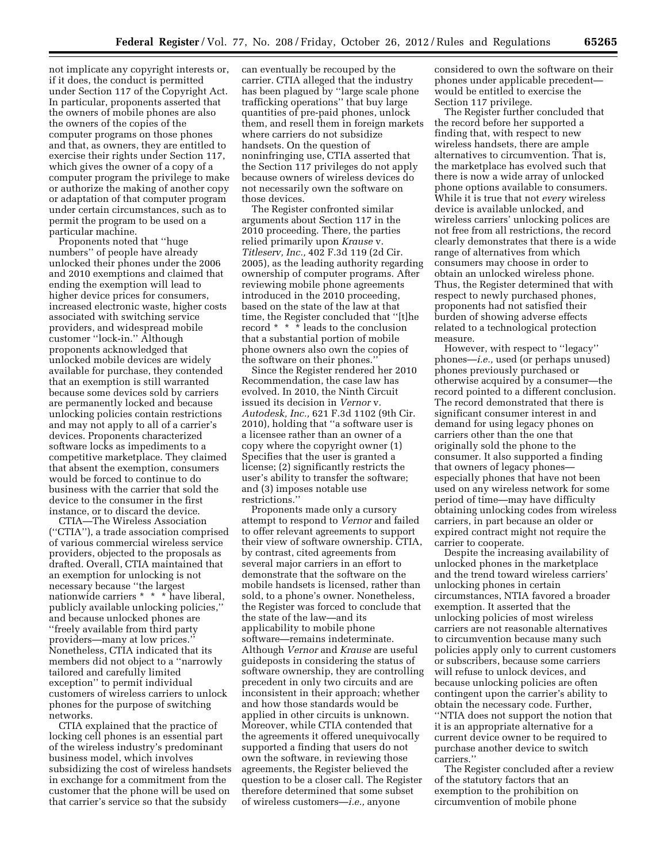not implicate any copyright interests or, if it does, the conduct is permitted under Section 117 of the Copyright Act. In particular, proponents asserted that the owners of mobile phones are also the owners of the copies of the computer programs on those phones and that, as owners, they are entitled to exercise their rights under Section 117, which gives the owner of a copy of a computer program the privilege to make or authorize the making of another copy or adaptation of that computer program under certain circumstances, such as to permit the program to be used on a particular machine.

Proponents noted that ''huge numbers'' of people have already unlocked their phones under the 2006 and 2010 exemptions and claimed that ending the exemption will lead to higher device prices for consumers, increased electronic waste, higher costs associated with switching service providers, and widespread mobile customer ''lock-in.'' Although proponents acknowledged that unlocked mobile devices are widely available for purchase, they contended that an exemption is still warranted because some devices sold by carriers are permanently locked and because unlocking policies contain restrictions and may not apply to all of a carrier's devices. Proponents characterized software locks as impediments to a competitive marketplace. They claimed that absent the exemption, consumers would be forced to continue to do business with the carrier that sold the device to the consumer in the first instance, or to discard the device.

CTIA—The Wireless Association (''CTIA''), a trade association comprised of various commercial wireless service providers, objected to the proposals as drafted. Overall, CTIA maintained that an exemption for unlocking is not necessary because ''the largest nationwide carriers \* \* \* have liberal, publicly available unlocking policies,'' and because unlocked phones are ''freely available from third party providers—many at low prices.'' Nonetheless, CTIA indicated that its members did not object to a ''narrowly tailored and carefully limited exception'' to permit individual customers of wireless carriers to unlock phones for the purpose of switching networks.

CTIA explained that the practice of locking cell phones is an essential part of the wireless industry's predominant business model, which involves subsidizing the cost of wireless handsets in exchange for a commitment from the customer that the phone will be used on that carrier's service so that the subsidy

can eventually be recouped by the carrier. CTIA alleged that the industry has been plagued by ''large scale phone trafficking operations'' that buy large quantities of pre-paid phones, unlock them, and resell them in foreign markets where carriers do not subsidize handsets. On the question of noninfringing use, CTIA asserted that the Section 117 privileges do not apply because owners of wireless devices do not necessarily own the software on those devices.

The Register confronted similar arguments about Section 117 in the 2010 proceeding. There, the parties relied primarily upon *Krause* v. *Titleserv, Inc.,* 402 F.3d 119 (2d Cir. 2005), as the leading authority regarding ownership of computer programs. After reviewing mobile phone agreements introduced in the 2010 proceeding, based on the state of the law at that time, the Register concluded that ''[t]he record \* \* \* leads to the conclusion that a substantial portion of mobile phone owners also own the copies of the software on their phones.''

Since the Register rendered her 2010 Recommendation, the case law has evolved. In 2010, the Ninth Circuit issued its decision in *Vernor* v. *Autodesk, Inc.,* 621 F.3d 1102 (9th Cir. 2010), holding that ''a software user is a licensee rather than an owner of a copy where the copyright owner (1) Specifies that the user is granted a license; (2) significantly restricts the user's ability to transfer the software; and (3) imposes notable use restrictions.''

Proponents made only a cursory attempt to respond to *Vernor* and failed to offer relevant agreements to support their view of software ownership. CTIA, by contrast, cited agreements from several major carriers in an effort to demonstrate that the software on the mobile handsets is licensed, rather than sold, to a phone's owner. Nonetheless, the Register was forced to conclude that the state of the law—and its applicability to mobile phone software—remains indeterminate. Although *Vernor* and *Krause* are useful guideposts in considering the status of software ownership, they are controlling precedent in only two circuits and are inconsistent in their approach; whether and how those standards would be applied in other circuits is unknown. Moreover, while CTIA contended that the agreements it offered unequivocally supported a finding that users do not own the software, in reviewing those agreements, the Register believed the question to be a closer call. The Register therefore determined that some subset of wireless customers—*i.e.,* anyone

considered to own the software on their phones under applicable precedent would be entitled to exercise the Section 117 privilege.

The Register further concluded that the record before her supported a finding that, with respect to new wireless handsets, there are ample alternatives to circumvention. That is, the marketplace has evolved such that there is now a wide array of unlocked phone options available to consumers. While it is true that not *every* wireless device is available unlocked, and wireless carriers' unlocking polices are not free from all restrictions, the record clearly demonstrates that there is a wide range of alternatives from which consumers may choose in order to obtain an unlocked wireless phone. Thus, the Register determined that with respect to newly purchased phones, proponents had not satisfied their burden of showing adverse effects related to a technological protection measure.

However, with respect to ''legacy'' phones—*i.e.,* used (or perhaps unused) phones previously purchased or otherwise acquired by a consumer—the record pointed to a different conclusion. The record demonstrated that there is significant consumer interest in and demand for using legacy phones on carriers other than the one that originally sold the phone to the consumer. It also supported a finding that owners of legacy phones especially phones that have not been used on any wireless network for some period of time—may have difficulty obtaining unlocking codes from wireless carriers, in part because an older or expired contract might not require the carrier to cooperate.

Despite the increasing availability of unlocked phones in the marketplace and the trend toward wireless carriers' unlocking phones in certain circumstances, NTIA favored a broader exemption. It asserted that the unlocking policies of most wireless carriers are not reasonable alternatives to circumvention because many such policies apply only to current customers or subscribers, because some carriers will refuse to unlock devices, and because unlocking policies are often contingent upon the carrier's ability to obtain the necessary code. Further, ''NTIA does not support the notion that it is an appropriate alternative for a current device owner to be required to purchase another device to switch carriers.''

The Register concluded after a review of the statutory factors that an exemption to the prohibition on circumvention of mobile phone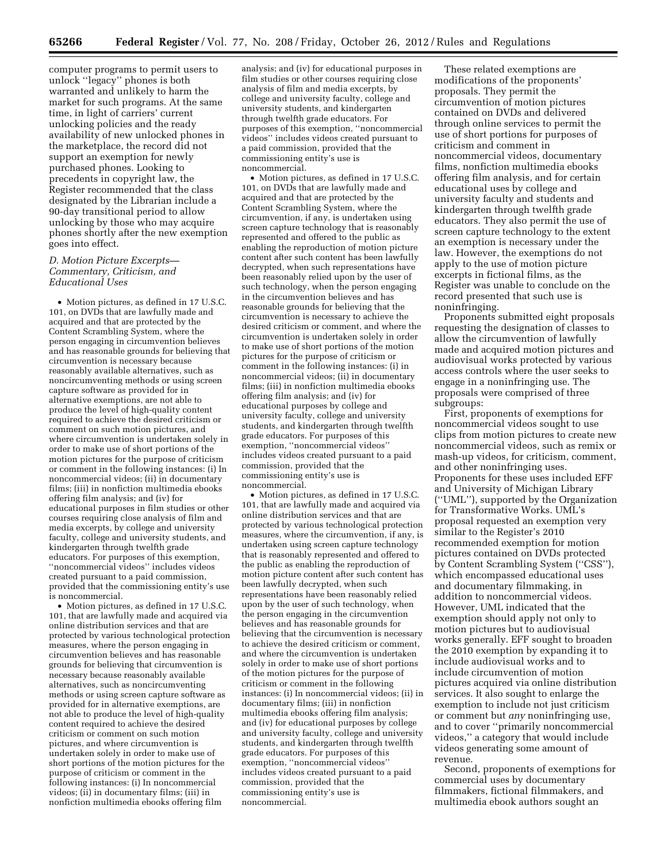computer programs to permit users to unlock ''legacy'' phones is both warranted and unlikely to harm the market for such programs. At the same time, in light of carriers' current unlocking policies and the ready availability of new unlocked phones in the marketplace, the record did not support an exemption for newly purchased phones. Looking to precedents in copyright law, the Register recommended that the class designated by the Librarian include a 90-day transitional period to allow unlocking by those who may acquire phones shortly after the new exemption goes into effect.

#### *D. Motion Picture Excerpts— Commentary, Criticism, and Educational Uses*

• Motion pictures, as defined in 17 U.S.C. 101, on DVDs that are lawfully made and acquired and that are protected by the Content Scrambling System, where the person engaging in circumvention believes and has reasonable grounds for believing that circumvention is necessary because reasonably available alternatives, such as noncircumventing methods or using screen capture software as provided for in alternative exemptions, are not able to produce the level of high-quality content required to achieve the desired criticism or comment on such motion pictures, and where circumvention is undertaken solely in order to make use of short portions of the motion pictures for the purpose of criticism or comment in the following instances: (i) In noncommercial videos; (ii) in documentary films; (iii) in nonfiction multimedia ebooks offering film analysis; and (iv) for educational purposes in film studies or other courses requiring close analysis of film and media excerpts, by college and university faculty, college and university students, and kindergarten through twelfth grade educators. For purposes of this exemption, ''noncommercial videos'' includes videos created pursuant to a paid commission, provided that the commissioning entity's use is noncommercial.

• Motion pictures, as defined in 17 U.S.C. 101, that are lawfully made and acquired via online distribution services and that are protected by various technological protection measures, where the person engaging in circumvention believes and has reasonable grounds for believing that circumvention is necessary because reasonably available alternatives, such as noncircumventing methods or using screen capture software as provided for in alternative exemptions, are not able to produce the level of high-quality content required to achieve the desired criticism or comment on such motion pictures, and where circumvention is undertaken solely in order to make use of short portions of the motion pictures for the purpose of criticism or comment in the following instances: (i) In noncommercial videos; (ii) in documentary films; (iii) in nonfiction multimedia ebooks offering film

analysis; and (iv) for educational purposes in film studies or other courses requiring close analysis of film and media excerpts, by college and university faculty, college and university students, and kindergarten through twelfth grade educators. For purposes of this exemption, ''noncommercial videos'' includes videos created pursuant to a paid commission, provided that the commissioning entity's use is noncommercial.

• Motion pictures, as defined in 17 U.S.C. 101, on DVDs that are lawfully made and acquired and that are protected by the Content Scrambling System, where the circumvention, if any, is undertaken using screen capture technology that is reasonably represented and offered to the public as enabling the reproduction of motion picture content after such content has been lawfully decrypted, when such representations have been reasonably relied upon by the user of such technology, when the person engaging in the circumvention believes and has reasonable grounds for believing that the circumvention is necessary to achieve the desired criticism or comment, and where the circumvention is undertaken solely in order to make use of short portions of the motion pictures for the purpose of criticism or comment in the following instances: (i) in noncommercial videos; (ii) in documentary films; (iii) in nonfiction multimedia ebooks offering film analysis; and (iv) for educational purposes by college and university faculty, college and university students, and kindergarten through twelfth grade educators. For purposes of this exemption, ''noncommercial videos'' includes videos created pursuant to a paid commission, provided that the commissioning entity's use is noncommercial.

• Motion pictures, as defined in 17 U.S.C. 101, that are lawfully made and acquired via online distribution services and that are protected by various technological protection measures, where the circumvention, if any, is undertaken using screen capture technology that is reasonably represented and offered to the public as enabling the reproduction of motion picture content after such content has been lawfully decrypted, when such representations have been reasonably relied upon by the user of such technology, when the person engaging in the circumvention believes and has reasonable grounds for believing that the circumvention is necessary to achieve the desired criticism or comment, and where the circumvention is undertaken solely in order to make use of short portions of the motion pictures for the purpose of criticism or comment in the following instances: (i) In noncommercial videos; (ii) in documentary films; (iii) in nonfiction multimedia ebooks offering film analysis; and (iv) for educational purposes by college and university faculty, college and university students, and kindergarten through twelfth grade educators. For purposes of this exemption, ''noncommercial videos'' includes videos created pursuant to a paid commission, provided that the commissioning entity's use is noncommercial.

These related exemptions are modifications of the proponents' proposals. They permit the circumvention of motion pictures contained on DVDs and delivered through online services to permit the use of short portions for purposes of criticism and comment in noncommercial videos, documentary films, nonfiction multimedia ebooks offering film analysis, and for certain educational uses by college and university faculty and students and kindergarten through twelfth grade educators. They also permit the use of screen capture technology to the extent an exemption is necessary under the law. However, the exemptions do not apply to the use of motion picture excerpts in fictional films, as the Register was unable to conclude on the record presented that such use is noninfringing.

Proponents submitted eight proposals requesting the designation of classes to allow the circumvention of lawfully made and acquired motion pictures and audiovisual works protected by various access controls where the user seeks to engage in a noninfringing use. The proposals were comprised of three subgroups:

First, proponents of exemptions for noncommercial videos sought to use clips from motion pictures to create new noncommercial videos, such as remix or mash-up videos, for criticism, comment, and other noninfringing uses. Proponents for these uses included EFF and University of Michigan Library (''UML''), supported by the Organization for Transformative Works. UML's proposal requested an exemption very similar to the Register's 2010 recommended exemption for motion pictures contained on DVDs protected by Content Scrambling System (''CSS''), which encompassed educational uses and documentary filmmaking, in addition to noncommercial videos. However, UML indicated that the exemption should apply not only to motion pictures but to audiovisual works generally. EFF sought to broaden the 2010 exemption by expanding it to include audiovisual works and to include circumvention of motion pictures acquired via online distribution services. It also sought to enlarge the exemption to include not just criticism or comment but *any* noninfringing use, and to cover ''primarily noncommercial videos,'' a category that would include videos generating some amount of revenue.

Second, proponents of exemptions for commercial uses by documentary filmmakers, fictional filmmakers, and multimedia ebook authors sought an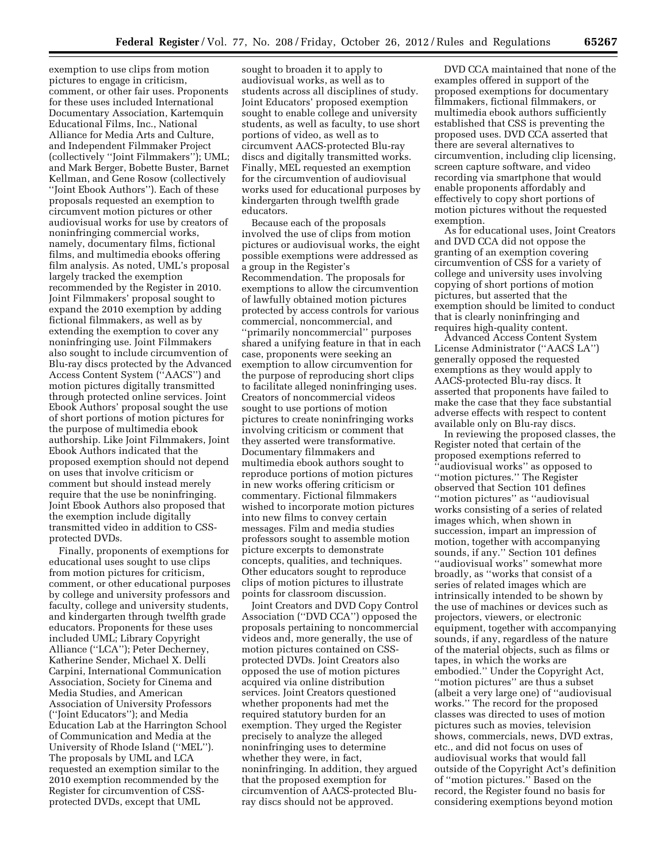exemption to use clips from motion pictures to engage in criticism, comment, or other fair uses. Proponents for these uses included International Documentary Association, Kartemquin Educational Films, Inc., National Alliance for Media Arts and Culture, and Independent Filmmaker Project (collectively ''Joint Filmmakers''); UML; and Mark Berger, Bobette Buster, Barnet Kellman, and Gene Rosow (collectively ''Joint Ebook Authors''). Each of these proposals requested an exemption to circumvent motion pictures or other audiovisual works for use by creators of noninfringing commercial works, namely, documentary films, fictional films, and multimedia ebooks offering film analysis. As noted, UML's proposal largely tracked the exemption recommended by the Register in 2010. Joint Filmmakers' proposal sought to expand the 2010 exemption by adding fictional filmmakers, as well as by extending the exemption to cover any noninfringing use. Joint Filmmakers also sought to include circumvention of Blu-ray discs protected by the Advanced Access Content System (''AACS'') and motion pictures digitally transmitted through protected online services. Joint Ebook Authors' proposal sought the use of short portions of motion pictures for the purpose of multimedia ebook authorship. Like Joint Filmmakers, Joint Ebook Authors indicated that the proposed exemption should not depend on uses that involve criticism or comment but should instead merely require that the use be noninfringing. Joint Ebook Authors also proposed that the exemption include digitally transmitted video in addition to CSSprotected DVDs.

Finally, proponents of exemptions for educational uses sought to use clips from motion pictures for criticism, comment, or other educational purposes by college and university professors and faculty, college and university students, and kindergarten through twelfth grade educators. Proponents for these uses included UML; Library Copyright Alliance (''LCA''); Peter Decherney, Katherine Sender, Michael X. Delli Carpini, International Communication Association, Society for Cinema and Media Studies, and American Association of University Professors (''Joint Educators''); and Media Education Lab at the Harrington School of Communication and Media at the University of Rhode Island (''MEL''). The proposals by UML and LCA requested an exemption similar to the 2010 exemption recommended by the Register for circumvention of CSSprotected DVDs, except that UML

sought to broaden it to apply to audiovisual works, as well as to students across all disciplines of study. Joint Educators' proposed exemption sought to enable college and university students, as well as faculty, to use short portions of video, as well as to circumvent AACS-protected Blu-ray discs and digitally transmitted works. Finally, MEL requested an exemption for the circumvention of audiovisual works used for educational purposes by kindergarten through twelfth grade educators.

Because each of the proposals involved the use of clips from motion pictures or audiovisual works, the eight possible exemptions were addressed as a group in the Register's Recommendation. The proposals for exemptions to allow the circumvention of lawfully obtained motion pictures protected by access controls for various commercial, noncommercial, and ''primarily noncommercial'' purposes shared a unifying feature in that in each case, proponents were seeking an exemption to allow circumvention for the purpose of reproducing short clips to facilitate alleged noninfringing uses. Creators of noncommercial videos sought to use portions of motion pictures to create noninfringing works involving criticism or comment that they asserted were transformative. Documentary filmmakers and multimedia ebook authors sought to reproduce portions of motion pictures in new works offering criticism or commentary. Fictional filmmakers wished to incorporate motion pictures into new films to convey certain messages. Film and media studies professors sought to assemble motion picture excerpts to demonstrate concepts, qualities, and techniques. Other educators sought to reproduce clips of motion pictures to illustrate points for classroom discussion.

Joint Creators and DVD Copy Control Association (''DVD CCA'') opposed the proposals pertaining to noncommercial videos and, more generally, the use of motion pictures contained on CSSprotected DVDs. Joint Creators also opposed the use of motion pictures acquired via online distribution services. Joint Creators questioned whether proponents had met the required statutory burden for an exemption. They urged the Register precisely to analyze the alleged noninfringing uses to determine whether they were, in fact, noninfringing. In addition, they argued that the proposed exemption for circumvention of AACS-protected Bluray discs should not be approved.

DVD CCA maintained that none of the examples offered in support of the proposed exemptions for documentary filmmakers, fictional filmmakers, or multimedia ebook authors sufficiently established that CSS is preventing the proposed uses. DVD CCA asserted that there are several alternatives to circumvention, including clip licensing, screen capture software, and video recording via smartphone that would enable proponents affordably and effectively to copy short portions of motion pictures without the requested exemption.

As for educational uses, Joint Creators and DVD CCA did not oppose the granting of an exemption covering circumvention of CSS for a variety of college and university uses involving copying of short portions of motion pictures, but asserted that the exemption should be limited to conduct that is clearly noninfringing and requires high-quality content.

Advanced Access Content System License Administrator (''AACS LA'') generally opposed the requested exemptions as they would apply to AACS-protected Blu-ray discs. It asserted that proponents have failed to make the case that they face substantial adverse effects with respect to content available only on Blu-ray discs.

In reviewing the proposed classes, the Register noted that certain of the proposed exemptions referred to ''audiovisual works'' as opposed to ''motion pictures.'' The Register observed that Section 101 defines ''motion pictures'' as ''audiovisual works consisting of a series of related images which, when shown in succession, impart an impression of motion, together with accompanying sounds, if any.'' Section 101 defines ''audiovisual works'' somewhat more broadly, as ''works that consist of a series of related images which are intrinsically intended to be shown by the use of machines or devices such as projectors, viewers, or electronic equipment, together with accompanying sounds, if any, regardless of the nature of the material objects, such as films or tapes, in which the works are embodied.'' Under the Copyright Act, ''motion pictures'' are thus a subset (albeit a very large one) of ''audiovisual works.'' The record for the proposed classes was directed to uses of motion pictures such as movies, television shows, commercials, news, DVD extras, etc., and did not focus on uses of audiovisual works that would fall outside of the Copyright Act's definition of ''motion pictures.'' Based on the record, the Register found no basis for considering exemptions beyond motion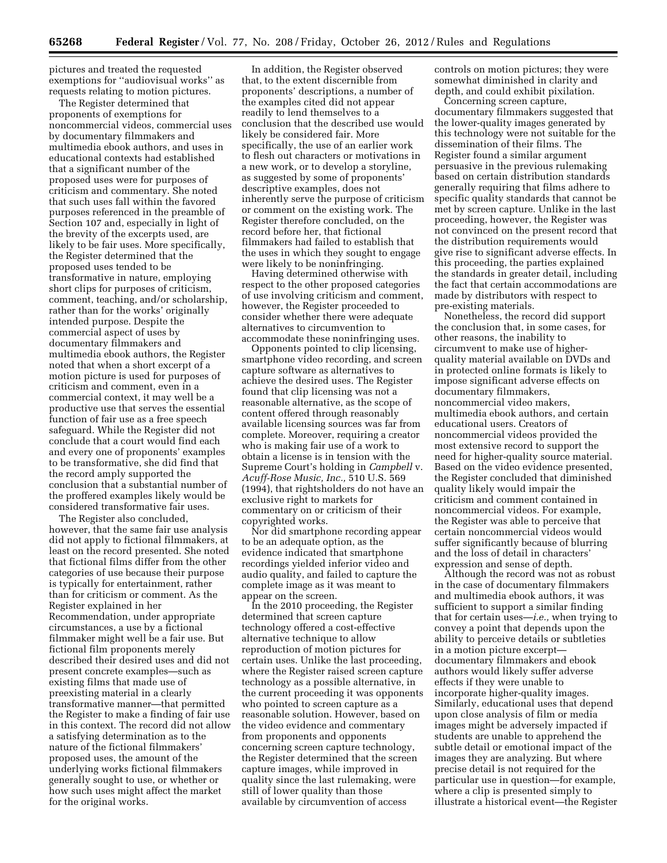pictures and treated the requested exemptions for ''audiovisual works'' as requests relating to motion pictures.

The Register determined that proponents of exemptions for noncommercial videos, commercial uses by documentary filmmakers and multimedia ebook authors, and uses in educational contexts had established that a significant number of the proposed uses were for purposes of criticism and commentary. She noted that such uses fall within the favored purposes referenced in the preamble of Section 107 and, especially in light of the brevity of the excerpts used, are likely to be fair uses. More specifically, the Register determined that the proposed uses tended to be transformative in nature, employing short clips for purposes of criticism, comment, teaching, and/or scholarship, rather than for the works' originally intended purpose. Despite the commercial aspect of uses by documentary filmmakers and multimedia ebook authors, the Register noted that when a short excerpt of a motion picture is used for purposes of criticism and comment, even in a commercial context, it may well be a productive use that serves the essential function of fair use as a free speech safeguard. While the Register did not conclude that a court would find each and every one of proponents' examples to be transformative, she did find that the record amply supported the conclusion that a substantial number of the proffered examples likely would be considered transformative fair uses.

The Register also concluded, however, that the same fair use analysis did not apply to fictional filmmakers, at least on the record presented. She noted that fictional films differ from the other categories of use because their purpose is typically for entertainment, rather than for criticism or comment. As the Register explained in her Recommendation, under appropriate circumstances, a use by a fictional filmmaker might well be a fair use. But fictional film proponents merely described their desired uses and did not present concrete examples—such as existing films that made use of preexisting material in a clearly transformative manner—that permitted the Register to make a finding of fair use in this context. The record did not allow a satisfying determination as to the nature of the fictional filmmakers' proposed uses, the amount of the underlying works fictional filmmakers generally sought to use, or whether or how such uses might affect the market for the original works.

In addition, the Register observed that, to the extent discernible from proponents' descriptions, a number of the examples cited did not appear readily to lend themselves to a conclusion that the described use would likely be considered fair. More specifically, the use of an earlier work to flesh out characters or motivations in a new work, or to develop a storyline, as suggested by some of proponents' descriptive examples, does not inherently serve the purpose of criticism or comment on the existing work. The Register therefore concluded, on the record before her, that fictional filmmakers had failed to establish that the uses in which they sought to engage were likely to be noninfringing.

Having determined otherwise with respect to the other proposed categories of use involving criticism and comment, however, the Register proceeded to consider whether there were adequate alternatives to circumvention to accommodate these noninfringing uses.

Opponents pointed to clip licensing, smartphone video recording, and screen capture software as alternatives to achieve the desired uses. The Register found that clip licensing was not a reasonable alternative, as the scope of content offered through reasonably available licensing sources was far from complete. Moreover, requiring a creator who is making fair use of a work to obtain a license is in tension with the Supreme Court's holding in *Campbell* v. *Acuff-Rose Music, Inc.,* 510 U.S. 569 (1994), that rightsholders do not have an exclusive right to markets for commentary on or criticism of their copyrighted works.

Nor did smartphone recording appear to be an adequate option, as the evidence indicated that smartphone recordings yielded inferior video and audio quality, and failed to capture the complete image as it was meant to appear on the screen.

In the 2010 proceeding, the Register determined that screen capture technology offered a cost-effective alternative technique to allow reproduction of motion pictures for certain uses. Unlike the last proceeding, where the Register raised screen capture technology as a possible alternative, in the current proceeding it was opponents who pointed to screen capture as a reasonable solution. However, based on the video evidence and commentary from proponents and opponents concerning screen capture technology, the Register determined that the screen capture images, while improved in quality since the last rulemaking, were still of lower quality than those available by circumvention of access

controls on motion pictures; they were somewhat diminished in clarity and depth, and could exhibit pixilation.

Concerning screen capture, documentary filmmakers suggested that the lower-quality images generated by this technology were not suitable for the dissemination of their films. The Register found a similar argument persuasive in the previous rulemaking based on certain distribution standards generally requiring that films adhere to specific quality standards that cannot be met by screen capture. Unlike in the last proceeding, however, the Register was not convinced on the present record that the distribution requirements would give rise to significant adverse effects. In this proceeding, the parties explained the standards in greater detail, including the fact that certain accommodations are made by distributors with respect to pre-existing materials.

Nonetheless, the record did support the conclusion that, in some cases, for other reasons, the inability to circumvent to make use of higherquality material available on DVDs and in protected online formats is likely to impose significant adverse effects on documentary filmmakers, noncommercial video makers, multimedia ebook authors, and certain educational users. Creators of noncommercial videos provided the most extensive record to support the need for higher-quality source material. Based on the video evidence presented, the Register concluded that diminished quality likely would impair the criticism and comment contained in noncommercial videos. For example, the Register was able to perceive that certain noncommercial videos would suffer significantly because of blurring and the loss of detail in characters' expression and sense of depth.

Although the record was not as robust in the case of documentary filmmakers and multimedia ebook authors, it was sufficient to support a similar finding that for certain uses—*i.e.,* when trying to convey a point that depends upon the ability to perceive details or subtleties in a motion picture excerpt documentary filmmakers and ebook authors would likely suffer adverse effects if they were unable to incorporate higher-quality images. Similarly, educational uses that depend upon close analysis of film or media images might be adversely impacted if students are unable to apprehend the subtle detail or emotional impact of the images they are analyzing. But where precise detail is not required for the particular use in question—for example, where a clip is presented simply to illustrate a historical event—the Register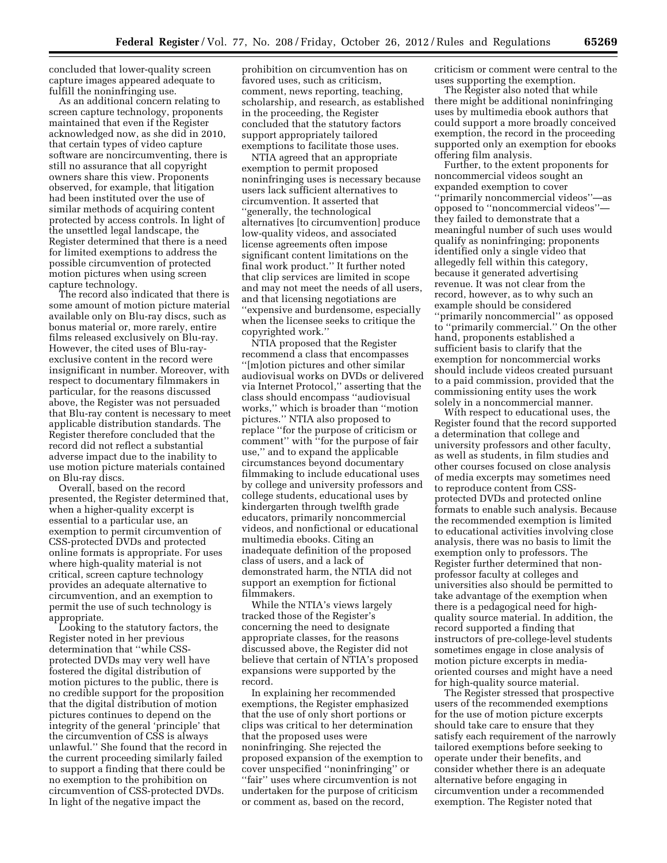concluded that lower-quality screen capture images appeared adequate to fulfill the noninfringing use.

As an additional concern relating to screen capture technology, proponents maintained that even if the Register acknowledged now, as she did in 2010, that certain types of video capture software are noncircumventing, there is still no assurance that all copyright owners share this view. Proponents observed, for example, that litigation had been instituted over the use of similar methods of acquiring content protected by access controls. In light of the unsettled legal landscape, the Register determined that there is a need for limited exemptions to address the possible circumvention of protected motion pictures when using screen capture technology.

The record also indicated that there is some amount of motion picture material available only on Blu-ray discs, such as bonus material or, more rarely, entire films released exclusively on Blu-ray. However, the cited uses of Blu-rayexclusive content in the record were insignificant in number. Moreover, with respect to documentary filmmakers in particular, for the reasons discussed above, the Register was not persuaded that Blu-ray content is necessary to meet applicable distribution standards. The Register therefore concluded that the record did not reflect a substantial adverse impact due to the inability to use motion picture materials contained on Blu-ray discs.

Overall, based on the record presented, the Register determined that, when a higher-quality excerpt is essential to a particular use, an exemption to permit circumvention of CSS-protected DVDs and protected online formats is appropriate. For uses where high-quality material is not critical, screen capture technology provides an adequate alternative to circumvention, and an exemption to permit the use of such technology is appropriate.

Looking to the statutory factors, the Register noted in her previous determination that ''while CSSprotected DVDs may very well have fostered the digital distribution of motion pictures to the public, there is no credible support for the proposition that the digital distribution of motion pictures continues to depend on the integrity of the general 'principle' that the circumvention of CSS is always unlawful.'' She found that the record in the current proceeding similarly failed to support a finding that there could be no exemption to the prohibition on circumvention of CSS-protected DVDs. In light of the negative impact the

prohibition on circumvention has on favored uses, such as criticism, comment, news reporting, teaching, scholarship, and research, as established in the proceeding, the Register concluded that the statutory factors support appropriately tailored exemptions to facilitate those uses.

NTIA agreed that an appropriate exemption to permit proposed noninfringing uses is necessary because users lack sufficient alternatives to circumvention. It asserted that ''generally, the technological alternatives [to circumvention] produce low-quality videos, and associated license agreements often impose significant content limitations on the final work product.'' It further noted that clip services are limited in scope and may not meet the needs of all users, and that licensing negotiations are ''expensive and burdensome, especially when the licensee seeks to critique the copyrighted work.''

NTIA proposed that the Register recommend a class that encompasses ''[m]otion pictures and other similar audiovisual works on DVDs or delivered via Internet Protocol,'' asserting that the class should encompass ''audiovisual works,'' which is broader than ''motion pictures.'' NTIA also proposed to replace ''for the purpose of criticism or comment'' with ''for the purpose of fair use,'' and to expand the applicable circumstances beyond documentary filmmaking to include educational uses by college and university professors and college students, educational uses by kindergarten through twelfth grade educators, primarily noncommercial videos, and nonfictional or educational multimedia ebooks. Citing an inadequate definition of the proposed class of users, and a lack of demonstrated harm, the NTIA did not support an exemption for fictional filmmakers.

While the NTIA's views largely tracked those of the Register's concerning the need to designate appropriate classes, for the reasons discussed above, the Register did not believe that certain of NTIA's proposed expansions were supported by the record.

In explaining her recommended exemptions, the Register emphasized that the use of only short portions or clips was critical to her determination that the proposed uses were noninfringing. She rejected the proposed expansion of the exemption to cover unspecified ''noninfringing'' or ''fair'' uses where circumvention is not undertaken for the purpose of criticism or comment as, based on the record,

criticism or comment were central to the uses supporting the exemption.

The Register also noted that while there might be additional noninfringing uses by multimedia ebook authors that could support a more broadly conceived exemption, the record in the proceeding supported only an exemption for ebooks offering film analysis.

Further, to the extent proponents for noncommercial videos sought an expanded exemption to cover ''primarily noncommercial videos''—as opposed to ''noncommercial videos'' they failed to demonstrate that a meaningful number of such uses would qualify as noninfringing; proponents identified only a single video that allegedly fell within this category, because it generated advertising revenue. It was not clear from the record, however, as to why such an example should be considered ''primarily noncommercial'' as opposed to ''primarily commercial.'' On the other hand, proponents established a sufficient basis to clarify that the exemption for noncommercial works should include videos created pursuant to a paid commission, provided that the commissioning entity uses the work solely in a noncommercial manner.

With respect to educational uses, the Register found that the record supported a determination that college and university professors and other faculty, as well as students, in film studies and other courses focused on close analysis of media excerpts may sometimes need to reproduce content from CSSprotected DVDs and protected online formats to enable such analysis. Because the recommended exemption is limited to educational activities involving close analysis, there was no basis to limit the exemption only to professors. The Register further determined that nonprofessor faculty at colleges and universities also should be permitted to take advantage of the exemption when there is a pedagogical need for highquality source material. In addition, the record supported a finding that instructors of pre-college-level students sometimes engage in close analysis of motion picture excerpts in mediaoriented courses and might have a need for high-quality source material.

The Register stressed that prospective users of the recommended exemptions for the use of motion picture excerpts should take care to ensure that they satisfy each requirement of the narrowly tailored exemptions before seeking to operate under their benefits, and consider whether there is an adequate alternative before engaging in circumvention under a recommended exemption. The Register noted that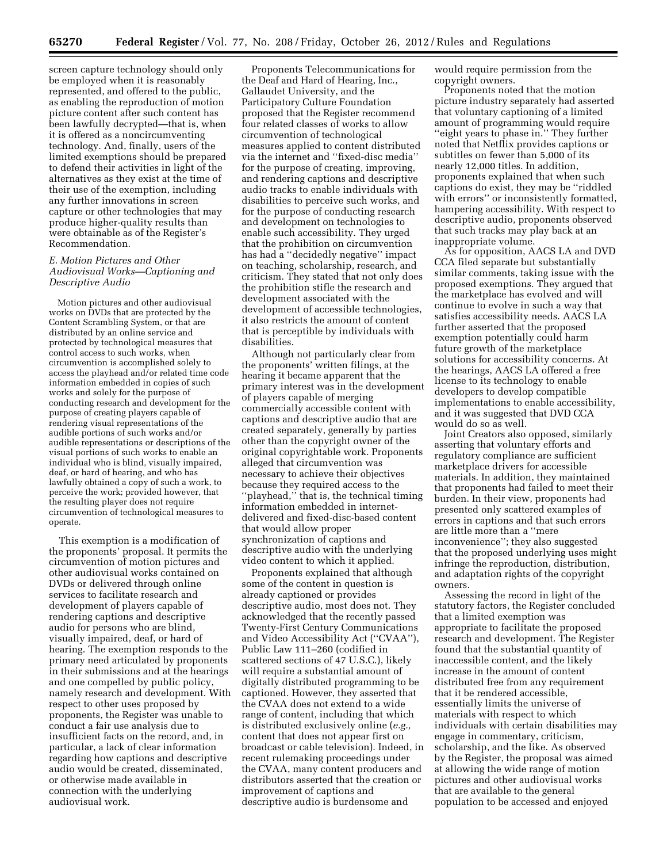screen capture technology should only be employed when it is reasonably represented, and offered to the public, as enabling the reproduction of motion picture content after such content has been lawfully decrypted—that is, when it is offered as a noncircumventing technology. And, finally, users of the limited exemptions should be prepared to defend their activities in light of the alternatives as they exist at the time of their use of the exemption, including any further innovations in screen capture or other technologies that may produce higher-quality results than were obtainable as of the Register's Recommendation.

# *E. Motion Pictures and Other Audiovisual Works—Captioning and Descriptive Audio*

Motion pictures and other audiovisual works on DVDs that are protected by the Content Scrambling System, or that are distributed by an online service and protected by technological measures that control access to such works, when circumvention is accomplished solely to access the playhead and/or related time code information embedded in copies of such works and solely for the purpose of conducting research and development for the purpose of creating players capable of rendering visual representations of the audible portions of such works and/or audible representations or descriptions of the visual portions of such works to enable an individual who is blind, visually impaired, deaf, or hard of hearing, and who has lawfully obtained a copy of such a work, to perceive the work; provided however, that the resulting player does not require circumvention of technological measures to operate.

This exemption is a modification of the proponents' proposal. It permits the circumvention of motion pictures and other audiovisual works contained on DVDs or delivered through online services to facilitate research and development of players capable of rendering captions and descriptive audio for persons who are blind, visually impaired, deaf, or hard of hearing. The exemption responds to the primary need articulated by proponents in their submissions and at the hearings and one compelled by public policy, namely research and development. With respect to other uses proposed by proponents, the Register was unable to conduct a fair use analysis due to insufficient facts on the record, and, in particular, a lack of clear information regarding how captions and descriptive audio would be created, disseminated, or otherwise made available in connection with the underlying audiovisual work.

Proponents Telecommunications for the Deaf and Hard of Hearing, Inc., Gallaudet University, and the Participatory Culture Foundation proposed that the Register recommend four related classes of works to allow circumvention of technological measures applied to content distributed via the internet and ''fixed-disc media'' for the purpose of creating, improving, and rendering captions and descriptive audio tracks to enable individuals with disabilities to perceive such works, and for the purpose of conducting research and development on technologies to enable such accessibility. They urged that the prohibition on circumvention has had a ''decidedly negative'' impact on teaching, scholarship, research, and criticism. They stated that not only does the prohibition stifle the research and development associated with the development of accessible technologies, it also restricts the amount of content that is perceptible by individuals with disabilities.

Although not particularly clear from the proponents' written filings, at the hearing it became apparent that the primary interest was in the development of players capable of merging commercially accessible content with captions and descriptive audio that are created separately, generally by parties other than the copyright owner of the original copyrightable work. Proponents alleged that circumvention was necessary to achieve their objectives because they required access to the ''playhead,'' that is, the technical timing information embedded in internetdelivered and fixed-disc-based content that would allow proper synchronization of captions and descriptive audio with the underlying video content to which it applied.

Proponents explained that although some of the content in question is already captioned or provides descriptive audio, most does not. They acknowledged that the recently passed Twenty-First Century Communications and Video Accessibility Act (''CVAA''), Public Law 111–260 (codified in scattered sections of 47 U.S.C.), likely will require a substantial amount of digitally distributed programming to be captioned. However, they asserted that the CVAA does not extend to a wide range of content, including that which is distributed exclusively online (*e.g.,*  content that does not appear first on broadcast or cable television). Indeed, in recent rulemaking proceedings under the CVAA, many content producers and distributors asserted that the creation or improvement of captions and descriptive audio is burdensome and

would require permission from the copyright owners.

Proponents noted that the motion picture industry separately had asserted that voluntary captioning of a limited amount of programming would require "eight years to phase in." They further noted that Netflix provides captions or subtitles on fewer than 5,000 of its nearly 12,000 titles. In addition, proponents explained that when such captions do exist, they may be ''riddled with errors'' or inconsistently formatted, hampering accessibility. With respect to descriptive audio, proponents observed that such tracks may play back at an inappropriate volume.

As for opposition, AACS LA and DVD CCA filed separate but substantially similar comments, taking issue with the proposed exemptions. They argued that the marketplace has evolved and will continue to evolve in such a way that satisfies accessibility needs. AACS LA further asserted that the proposed exemption potentially could harm future growth of the marketplace solutions for accessibility concerns. At the hearings, AACS LA offered a free license to its technology to enable developers to develop compatible implementations to enable accessibility, and it was suggested that DVD CCA would do so as well.

Joint Creators also opposed, similarly asserting that voluntary efforts and regulatory compliance are sufficient marketplace drivers for accessible materials. In addition, they maintained that proponents had failed to meet their burden. In their view, proponents had presented only scattered examples of errors in captions and that such errors are little more than a ''mere inconvenience''; they also suggested that the proposed underlying uses might infringe the reproduction, distribution, and adaptation rights of the copyright owners.

Assessing the record in light of the statutory factors, the Register concluded that a limited exemption was appropriate to facilitate the proposed research and development. The Register found that the substantial quantity of inaccessible content, and the likely increase in the amount of content distributed free from any requirement that it be rendered accessible, essentially limits the universe of materials with respect to which individuals with certain disabilities may engage in commentary, criticism, scholarship, and the like. As observed by the Register, the proposal was aimed at allowing the wide range of motion pictures and other audiovisual works that are available to the general population to be accessed and enjoyed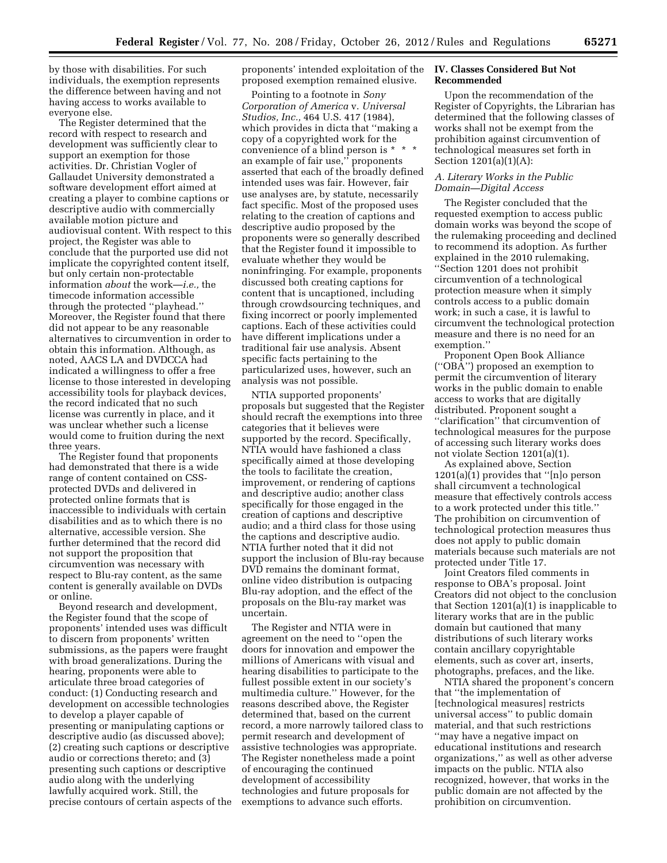by those with disabilities. For such individuals, the exemption represents the difference between having and not having access to works available to everyone else.

The Register determined that the record with respect to research and development was sufficiently clear to support an exemption for those activities. Dr. Christian Vogler of Gallaudet University demonstrated a software development effort aimed at creating a player to combine captions or descriptive audio with commercially available motion picture and audiovisual content. With respect to this project, the Register was able to conclude that the purported use did not implicate the copyrighted content itself, but only certain non-protectable information *about* the work—*i.e.,* the timecode information accessible through the protected ''playhead.'' Moreover, the Register found that there did not appear to be any reasonable alternatives to circumvention in order to obtain this information. Although, as noted, AACS LA and DVDCCA had indicated a willingness to offer a free license to those interested in developing accessibility tools for playback devices, the record indicated that no such license was currently in place, and it was unclear whether such a license would come to fruition during the next three years.

The Register found that proponents had demonstrated that there is a wide range of content contained on CSSprotected DVDs and delivered in protected online formats that is inaccessible to individuals with certain disabilities and as to which there is no alternative, accessible version. She further determined that the record did not support the proposition that circumvention was necessary with respect to Blu-ray content, as the same content is generally available on DVDs or online.

Beyond research and development, the Register found that the scope of proponents' intended uses was difficult to discern from proponents' written submissions, as the papers were fraught with broad generalizations. During the hearing, proponents were able to articulate three broad categories of conduct: (1) Conducting research and development on accessible technologies to develop a player capable of presenting or manipulating captions or descriptive audio (as discussed above); (2) creating such captions or descriptive audio or corrections thereto; and (3) presenting such captions or descriptive audio along with the underlying lawfully acquired work. Still, the precise contours of certain aspects of the proponents' intended exploitation of the proposed exemption remained elusive.

Pointing to a footnote in *Sony Corporation of America* v. *Universal Studios, Inc.,* 464 U.S. 417 (1984), which provides in dicta that ''making a copy of a copyrighted work for the convenience of a blind person is \* \* \* an example of fair use,'' proponents asserted that each of the broadly defined intended uses was fair. However, fair use analyses are, by statute, necessarily fact specific. Most of the proposed uses relating to the creation of captions and descriptive audio proposed by the proponents were so generally described that the Register found it impossible to evaluate whether they would be noninfringing. For example, proponents discussed both creating captions for content that is uncaptioned, including through crowdsourcing techniques, and fixing incorrect or poorly implemented captions. Each of these activities could have different implications under a traditional fair use analysis. Absent specific facts pertaining to the particularized uses, however, such an analysis was not possible.

NTIA supported proponents' proposals but suggested that the Register should recraft the exemptions into three categories that it believes were supported by the record. Specifically, NTIA would have fashioned a class specifically aimed at those developing the tools to facilitate the creation, improvement, or rendering of captions and descriptive audio; another class specifically for those engaged in the creation of captions and descriptive audio; and a third class for those using the captions and descriptive audio. NTIA further noted that it did not support the inclusion of Blu-ray because DVD remains the dominant format, online video distribution is outpacing Blu-ray adoption, and the effect of the proposals on the Blu-ray market was uncertain.

The Register and NTIA were in agreement on the need to ''open the doors for innovation and empower the millions of Americans with visual and hearing disabilities to participate to the fullest possible extent in our society's multimedia culture.'' However, for the reasons described above, the Register determined that, based on the current record, a more narrowly tailored class to permit research and development of assistive technologies was appropriate. The Register nonetheless made a point of encouraging the continued development of accessibility technologies and future proposals for exemptions to advance such efforts.

### **IV. Classes Considered But Not Recommended**

Upon the recommendation of the Register of Copyrights, the Librarian has determined that the following classes of works shall not be exempt from the prohibition against circumvention of technological measures set forth in Section 1201(a)(1)(A):

# *A. Literary Works in the Public Domain—Digital Access*

The Register concluded that the requested exemption to access public domain works was beyond the scope of the rulemaking proceeding and declined to recommend its adoption. As further explained in the 2010 rulemaking, ''Section 1201 does not prohibit circumvention of a technological protection measure when it simply controls access to a public domain work; in such a case, it is lawful to circumvent the technological protection measure and there is no need for an exemption.''

Proponent Open Book Alliance (''OBA'') proposed an exemption to permit the circumvention of literary works in the public domain to enable access to works that are digitally distributed. Proponent sought a ''clarification'' that circumvention of technological measures for the purpose of accessing such literary works does not violate Section 1201(a)(1).

As explained above, Section 1201(a)(1) provides that ''[n]o person shall circumvent a technological measure that effectively controls access to a work protected under this title.'' The prohibition on circumvention of technological protection measures thus does not apply to public domain materials because such materials are not protected under Title 17.

Joint Creators filed comments in response to OBA's proposal. Joint Creators did not object to the conclusion that Section 1201(a)(1) is inapplicable to literary works that are in the public domain but cautioned that many distributions of such literary works contain ancillary copyrightable elements, such as cover art, inserts, photographs, prefaces, and the like.

NTIA shared the proponent's concern that ''the implementation of [technological measures] restricts universal access'' to public domain material, and that such restrictions ''may have a negative impact on educational institutions and research organizations,'' as well as other adverse impacts on the public. NTIA also recognized, however, that works in the public domain are not affected by the prohibition on circumvention.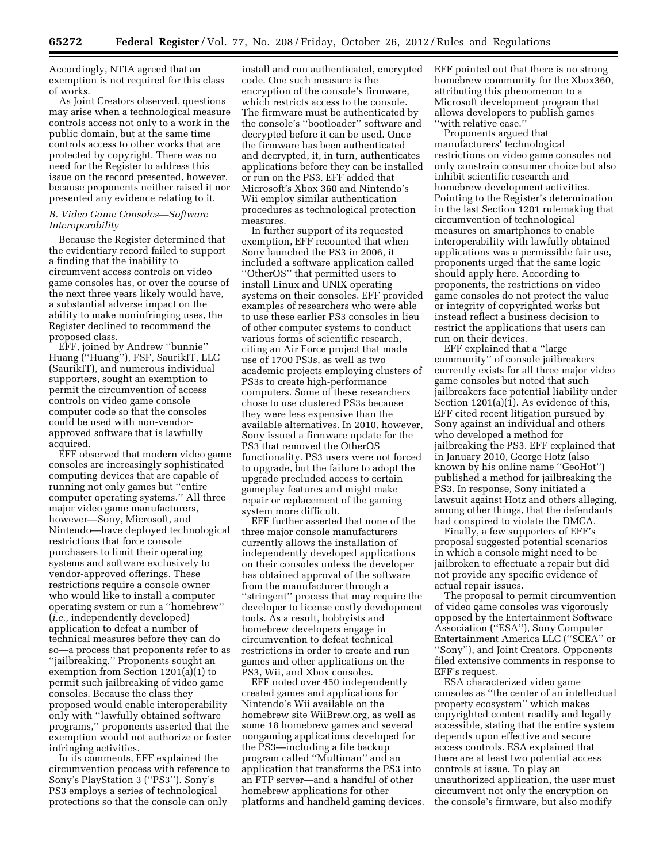Accordingly, NTIA agreed that an exemption is not required for this class of works.

As Joint Creators observed, questions may arise when a technological measure controls access not only to a work in the public domain, but at the same time controls access to other works that are protected by copyright. There was no need for the Register to address this issue on the record presented, however, because proponents neither raised it nor presented any evidence relating to it.

### *B. Video Game Consoles—Software Interoperability*

Because the Register determined that the evidentiary record failed to support a finding that the inability to circumvent access controls on video game consoles has, or over the course of the next three years likely would have, a substantial adverse impact on the ability to make noninfringing uses, the Register declined to recommend the proposed class.

EFF, joined by Andrew ''bunnie'' Huang (''Huang''), FSF, SaurikIT, LLC (SaurikIT), and numerous individual supporters, sought an exemption to permit the circumvention of access controls on video game console computer code so that the consoles could be used with non-vendorapproved software that is lawfully acquired.

EFF observed that modern video game consoles are increasingly sophisticated computing devices that are capable of running not only games but ''entire computer operating systems.'' All three major video game manufacturers, however—Sony, Microsoft, and Nintendo—have deployed technological restrictions that force console purchasers to limit their operating systems and software exclusively to vendor-approved offerings. These restrictions require a console owner who would like to install a computer operating system or run a ''homebrew'' (*i.e.,* independently developed) application to defeat a number of technical measures before they can do so—a process that proponents refer to as ''jailbreaking.'' Proponents sought an exemption from Section 1201(a)(1) to permit such jailbreaking of video game consoles. Because the class they proposed would enable interoperability only with ''lawfully obtained software programs,'' proponents asserted that the exemption would not authorize or foster infringing activities.

In its comments, EFF explained the circumvention process with reference to Sony's PlayStation 3 (''PS3''). Sony's PS3 employs a series of technological protections so that the console can only

install and run authenticated, encrypted code. One such measure is the encryption of the console's firmware, which restricts access to the console. The firmware must be authenticated by the console's ''bootloader'' software and decrypted before it can be used. Once the firmware has been authenticated and decrypted, it, in turn, authenticates applications before they can be installed or run on the PS3. EFF added that Microsoft's Xbox 360 and Nintendo's Wii employ similar authentication procedures as technological protection measures.

In further support of its requested exemption, EFF recounted that when Sony launched the PS3 in 2006, it included a software application called ''OtherOS'' that permitted users to install Linux and UNIX operating systems on their consoles. EFF provided examples of researchers who were able to use these earlier PS3 consoles in lieu of other computer systems to conduct various forms of scientific research, citing an Air Force project that made use of 1700 PS3s, as well as two academic projects employing clusters of PS3s to create high-performance computers. Some of these researchers chose to use clustered PS3s because they were less expensive than the available alternatives. In 2010, however, Sony issued a firmware update for the PS3 that removed the OtherOS functionality. PS3 users were not forced to upgrade, but the failure to adopt the upgrade precluded access to certain gameplay features and might make repair or replacement of the gaming system more difficult.

EFF further asserted that none of the three major console manufacturers currently allows the installation of independently developed applications on their consoles unless the developer has obtained approval of the software from the manufacturer through a ''stringent'' process that may require the developer to license costly development tools. As a result, hobbyists and homebrew developers engage in circumvention to defeat technical restrictions in order to create and run games and other applications on the PS3, Wii, and Xbox consoles.

EFF noted over 450 independently created games and applications for Nintendo's Wii available on the homebrew site WiiBrew.org, as well as some 18 homebrew games and several nongaming applications developed for the PS3—including a file backup program called ''Multiman'' and an application that transforms the PS3 into an FTP server—and a handful of other homebrew applications for other platforms and handheld gaming devices. EFF pointed out that there is no strong homebrew community for the Xbox360, attributing this phenomenon to a Microsoft development program that allows developers to publish games ''with relative ease.''

Proponents argued that manufacturers' technological restrictions on video game consoles not only constrain consumer choice but also inhibit scientific research and homebrew development activities. Pointing to the Register's determination in the last Section 1201 rulemaking that circumvention of technological measures on smartphones to enable interoperability with lawfully obtained applications was a permissible fair use, proponents urged that the same logic should apply here. According to proponents, the restrictions on video game consoles do not protect the value or integrity of copyrighted works but instead reflect a business decision to restrict the applications that users can run on their devices.

EFF explained that a ''large community'' of console jailbreakers currently exists for all three major video game consoles but noted that such jailbreakers face potential liability under Section 1201(a)(1). As evidence of this, EFF cited recent litigation pursued by Sony against an individual and others who developed a method for jailbreaking the PS3. EFF explained that in January 2010, George Hotz (also known by his online name ''GeoHot'') published a method for jailbreaking the PS3. In response, Sony initiated a lawsuit against Hotz and others alleging, among other things, that the defendants had conspired to violate the DMCA.

Finally, a few supporters of EFF's proposal suggested potential scenarios in which a console might need to be jailbroken to effectuate a repair but did not provide any specific evidence of actual repair issues.

The proposal to permit circumvention of video game consoles was vigorously opposed by the Entertainment Software Association (''ESA''), Sony Computer Entertainment America LLC (''SCEA'' or ''Sony''), and Joint Creators. Opponents filed extensive comments in response to EFF's request.

ESA characterized video game consoles as ''the center of an intellectual property ecosystem'' which makes copyrighted content readily and legally accessible, stating that the entire system depends upon effective and secure access controls. ESA explained that there are at least two potential access controls at issue. To play an unauthorized application, the user must circumvent not only the encryption on the console's firmware, but also modify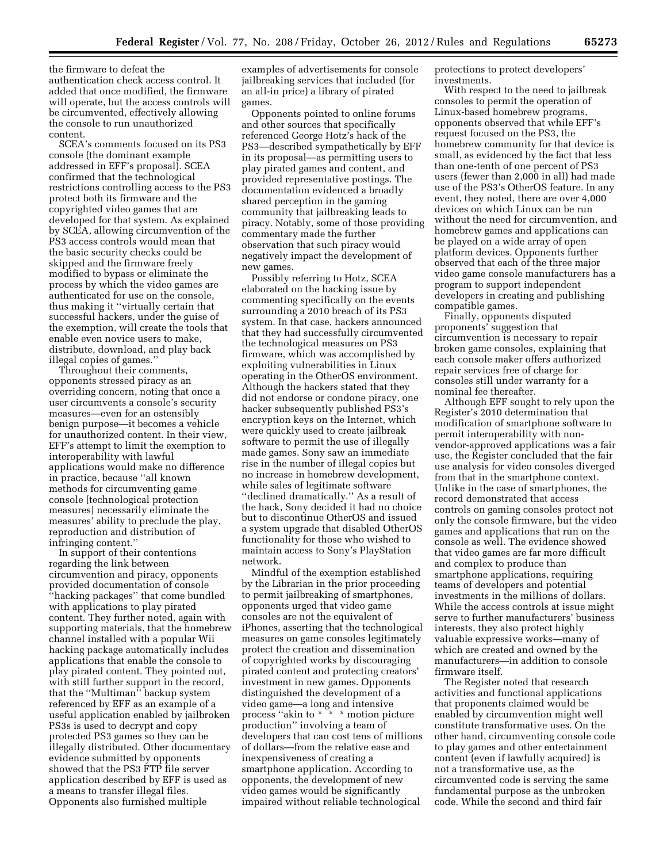the firmware to defeat the authentication check access control. It added that once modified, the firmware will operate, but the access controls will be circumvented, effectively allowing the console to run unauthorized content.

SCEA's comments focused on its PS3 console (the dominant example addressed in EFF's proposal). SCEA confirmed that the technological restrictions controlling access to the PS3 protect both its firmware and the copyrighted video games that are developed for that system. As explained by SCEA, allowing circumvention of the PS3 access controls would mean that the basic security checks could be skipped and the firmware freely modified to bypass or eliminate the process by which the video games are authenticated for use on the console, thus making it ''virtually certain that successful hackers, under the guise of the exemption, will create the tools that enable even novice users to make, distribute, download, and play back illegal copies of games.''

Throughout their comments, opponents stressed piracy as an overriding concern, noting that once a user circumvents a console's security measures—even for an ostensibly benign purpose—it becomes a vehicle for unauthorized content. In their view, EFF's attempt to limit the exemption to interoperability with lawful applications would make no difference in practice, because ''all known methods for circumventing game console [technological protection measures] necessarily eliminate the measures' ability to preclude the play, reproduction and distribution of infringing content.''

In support of their contentions regarding the link between circumvention and piracy, opponents provided documentation of console ''hacking packages'' that come bundled with applications to play pirated content. They further noted, again with supporting materials, that the homebrew channel installed with a popular Wii hacking package automatically includes applications that enable the console to play pirated content. They pointed out, with still further support in the record, that the ''Multiman'' backup system referenced by EFF as an example of a useful application enabled by jailbroken PS3s is used to decrypt and copy protected PS3 games so they can be illegally distributed. Other documentary evidence submitted by opponents showed that the PS3 FTP file server application described by EFF is used as a means to transfer illegal files. Opponents also furnished multiple

examples of advertisements for console jailbreaking services that included (for an all-in price) a library of pirated games.

Opponents pointed to online forums and other sources that specifically referenced George Hotz's hack of the PS3—described sympathetically by EFF in its proposal—as permitting users to play pirated games and content, and provided representative postings. The documentation evidenced a broadly shared perception in the gaming community that jailbreaking leads to piracy. Notably, some of those providing commentary made the further observation that such piracy would negatively impact the development of new games.

Possibly referring to Hotz, SCEA elaborated on the hacking issue by commenting specifically on the events surrounding a 2010 breach of its PS3 system. In that case, hackers announced that they had successfully circumvented the technological measures on PS3 firmware, which was accomplished by exploiting vulnerabilities in Linux operating in the OtherOS environment. Although the hackers stated that they did not endorse or condone piracy, one hacker subsequently published PS3's encryption keys on the Internet, which were quickly used to create jailbreak software to permit the use of illegally made games. Sony saw an immediate rise in the number of illegal copies but no increase in homebrew development, while sales of legitimate software ''declined dramatically.'' As a result of the hack, Sony decided it had no choice but to discontinue OtherOS and issued a system upgrade that disabled OtherOS functionality for those who wished to maintain access to Sony's PlayStation network.

Mindful of the exemption established by the Librarian in the prior proceeding to permit jailbreaking of smartphones, opponents urged that video game consoles are not the equivalent of iPhones, asserting that the technological measures on game consoles legitimately protect the creation and dissemination of copyrighted works by discouraging pirated content and protecting creators' investment in new games. Opponents distinguished the development of a video game—a long and intensive process ''akin to \* \* \* motion picture production'' involving a team of developers that can cost tens of millions of dollars—from the relative ease and inexpensiveness of creating a smartphone application. According to opponents, the development of new video games would be significantly impaired without reliable technological

protections to protect developers' investments.

With respect to the need to jailbreak consoles to permit the operation of Linux-based homebrew programs, opponents observed that while EFF's request focused on the PS3, the homebrew community for that device is small, as evidenced by the fact that less than one-tenth of one percent of PS3 users (fewer than 2,000 in all) had made use of the PS3's OtherOS feature. In any event, they noted, there are over 4,000 devices on which Linux can be run without the need for circumvention, and homebrew games and applications can be played on a wide array of open platform devices. Opponents further observed that each of the three major video game console manufacturers has a program to support independent developers in creating and publishing compatible games.

Finally, opponents disputed proponents' suggestion that circumvention is necessary to repair broken game consoles, explaining that each console maker offers authorized repair services free of charge for consoles still under warranty for a nominal fee thereafter.

Although EFF sought to rely upon the Register's 2010 determination that modification of smartphone software to permit interoperability with nonvendor-approved applications was a fair use, the Register concluded that the fair use analysis for video consoles diverged from that in the smartphone context. Unlike in the case of smartphones, the record demonstrated that access controls on gaming consoles protect not only the console firmware, but the video games and applications that run on the console as well. The evidence showed that video games are far more difficult and complex to produce than smartphone applications, requiring teams of developers and potential investments in the millions of dollars. While the access controls at issue might serve to further manufacturers' business interests, they also protect highly valuable expressive works—many of which are created and owned by the manufacturers—in addition to console firmware itself.

The Register noted that research activities and functional applications that proponents claimed would be enabled by circumvention might well constitute transformative uses. On the other hand, circumventing console code to play games and other entertainment content (even if lawfully acquired) is not a transformative use, as the circumvented code is serving the same fundamental purpose as the unbroken code. While the second and third fair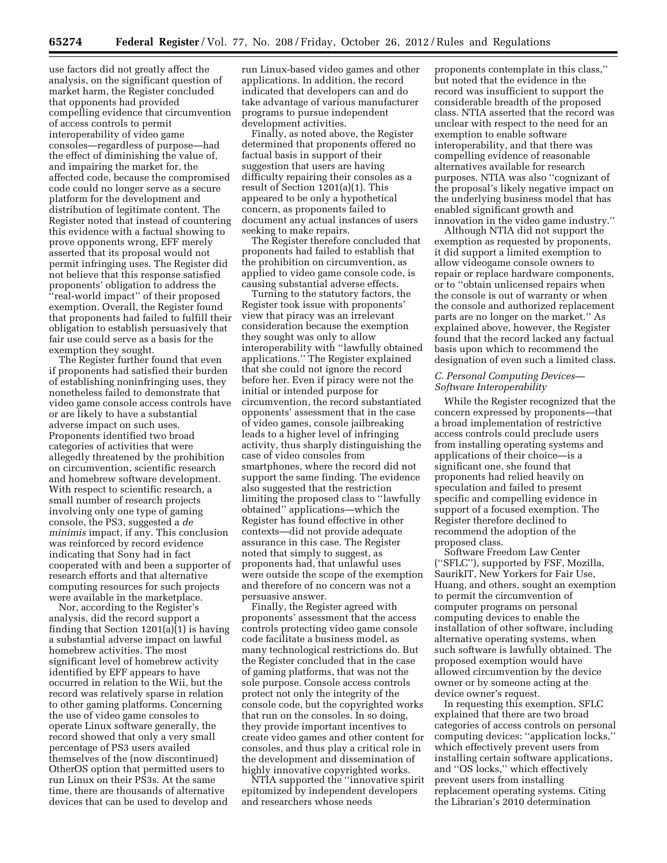use factors did not greatly affect the analysis, on the significant question of market harm, the Register concluded that opponents had provided compelling evidence that circumvention of access controls to permit interoperability of video game consoles—regardless of purpose—had the effect of diminishing the value of, and impairing the market for, the affected code, because the compromised code could no longer serve as a secure platform for the development and distribution of legitimate content. The Register noted that instead of countering this evidence with a factual showing to prove opponents wrong, EFF merely asserted that its proposal would not permit infringing uses. The Register did not believe that this response satisfied proponents' obligation to address the ''real-world impact'' of their proposed exemption. Overall, the Register found that proponents had failed to fulfill their obligation to establish persuasively that fair use could serve as a basis for the exemption they sought.

The Register further found that even if proponents had satisfied their burden of establishing noninfringing uses, they nonetheless failed to demonstrate that video game console access controls have or are likely to have a substantial adverse impact on such uses. Proponents identified two broad categories of activities that were allegedly threatened by the prohibition on circumvention, scientific research and homebrew software development. With respect to scientific research, a small number of research projects involving only one type of gaming console, the PS3, suggested a *de minimis* impact, if any. This conclusion was reinforced by record evidence indicating that Sony had in fact cooperated with and been a supporter of research efforts and that alternative computing resources for such projects were available in the marketplace.

Nor, according to the Register's analysis, did the record support a finding that Section 1201(a)(1) is having a substantial adverse impact on lawful homebrew activities. The most significant level of homebrew activity identified by EFF appears to have occurred in relation to the Wii, but the record was relatively sparse in relation to other gaming platforms. Concerning the use of video game consoles to operate Linux software generally, the record showed that only a very small percentage of PS3 users availed themselves of the (now discontinued) OtherOS option that permitted users to run Linux on their PS3s. At the same time, there are thousands of alternative devices that can be used to develop and

run Linux-based video games and other applications. In addition, the record indicated that developers can and do take advantage of various manufacturer programs to pursue independent development activities.

Finally, as noted above, the Register determined that proponents offered no factual basis in support of their suggestion that users are having difficulty repairing their consoles as a result of Section 1201(a)(1). This appeared to be only a hypothetical concern, as proponents failed to document any actual instances of users seeking to make repairs.

The Register therefore concluded that proponents had failed to establish that the prohibition on circumvention, as applied to video game console code, is causing substantial adverse effects.

Turning to the statutory factors, the Register took issue with proponents' view that piracy was an irrelevant consideration because the exemption they sought was only to allow interoperability with ''lawfully obtained applications.'' The Register explained that she could not ignore the record before her. Even if piracy were not the initial or intended purpose for circumvention, the record substantiated opponents' assessment that in the case of video games, console jailbreaking leads to a higher level of infringing activity, thus sharply distinguishing the case of video consoles from smartphones, where the record did not support the same finding. The evidence also suggested that the restriction limiting the proposed class to ''lawfully obtained'' applications—which the Register has found effective in other contexts—did not provide adequate assurance in this case. The Register noted that simply to suggest, as proponents had, that unlawful uses were outside the scope of the exemption and therefore of no concern was not a persuasive answer.

Finally, the Register agreed with proponents' assessment that the access controls protecting video game console code facilitate a business model, as many technological restrictions do. But the Register concluded that in the case of gaming platforms, that was not the sole purpose. Console access controls protect not only the integrity of the console code, but the copyrighted works that run on the consoles. In so doing, they provide important incentives to create video games and other content for consoles, and thus play a critical role in the development and dissemination of highly innovative copyrighted works.

NTIA supported the ''innovative spirit epitomized by independent developers and researchers whose needs

proponents contemplate in this class,'' but noted that the evidence in the record was insufficient to support the considerable breadth of the proposed class. NTIA asserted that the record was unclear with respect to the need for an exemption to enable software interoperability, and that there was compelling evidence of reasonable alternatives available for research purposes. NTIA was also ''cognizant of the proposal's likely negative impact on the underlying business model that has enabled significant growth and innovation in the video game industry.''

Although NTIA did not support the exemption as requested by proponents, it did support a limited exemption to allow videogame console owners to repair or replace hardware components, or to ''obtain unlicensed repairs when the console is out of warranty or when the console and authorized replacement parts are no longer on the market.'' As explained above, however, the Register found that the record lacked any factual basis upon which to recommend the designation of even such a limited class.

# *C. Personal Computing Devices— Software Interoperability*

While the Register recognized that the concern expressed by proponents—that a broad implementation of restrictive access controls could preclude users from installing operating systems and applications of their choice—is a significant one, she found that proponents had relied heavily on speculation and failed to present specific and compelling evidence in support of a focused exemption. The Register therefore declined to recommend the adoption of the proposed class.

Software Freedom Law Center (''SFLC''), supported by FSF, Mozilla, SaurikIT, New Yorkers for Fair Use, Huang, and others, sought an exemption to permit the circumvention of computer programs on personal computing devices to enable the installation of other software, including alternative operating systems, when such software is lawfully obtained. The proposed exemption would have allowed circumvention by the device owner or by someone acting at the device owner's request.

In requesting this exemption, SFLC explained that there are two broad categories of access controls on personal computing devices: ''application locks,'' which effectively prevent users from installing certain software applications, and ''OS locks,'' which effectively prevent users from installing replacement operating systems. Citing the Librarian's 2010 determination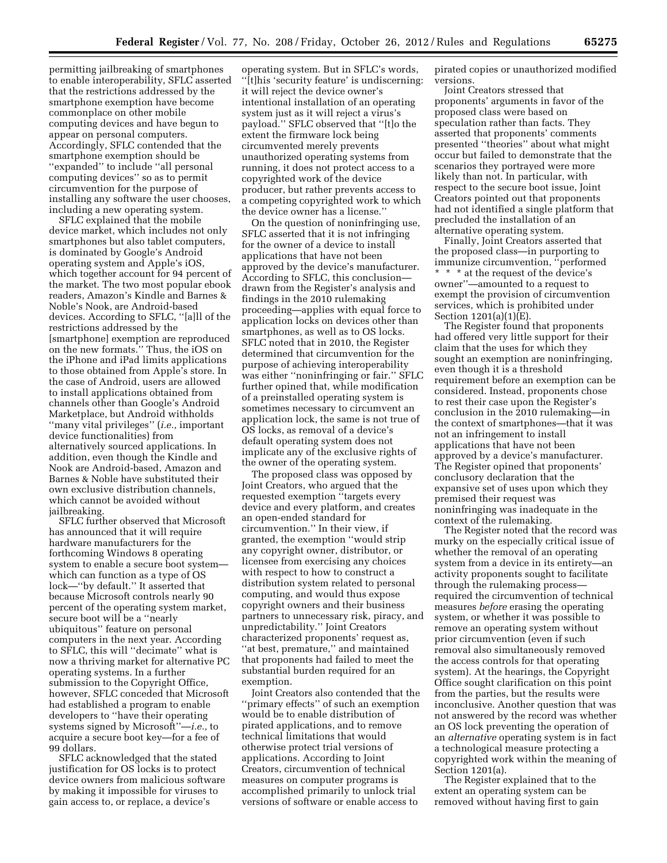permitting jailbreaking of smartphones to enable interoperability, SFLC asserted that the restrictions addressed by the smartphone exemption have become commonplace on other mobile computing devices and have begun to appear on personal computers. Accordingly, SFLC contended that the smartphone exemption should be ''expanded'' to include ''all personal computing devices'' so as to permit circumvention for the purpose of installing any software the user chooses, including a new operating system.

SFLC explained that the mobile device market, which includes not only smartphones but also tablet computers, is dominated by Google's Android operating system and Apple's iOS, which together account for 94 percent of the market. The two most popular ebook readers, Amazon's Kindle and Barnes & Noble's Nook, are Android-based devices. According to SFLC, ''[a]ll of the restrictions addressed by the [smartphone] exemption are reproduced on the new formats.'' Thus, the iOS on the iPhone and iPad limits applications to those obtained from Apple's store. In the case of Android, users are allowed to install applications obtained from channels other than Google's Android Marketplace, but Android withholds ''many vital privileges'' (*i.e.,* important device functionalities) from alternatively sourced applications. In addition, even though the Kindle and Nook are Android-based, Amazon and Barnes & Noble have substituted their own exclusive distribution channels, which cannot be avoided without jailbreaking.

SFLC further observed that Microsoft has announced that it will require hardware manufacturers for the forthcoming Windows 8 operating system to enable a secure boot system which can function as a type of OS lock—''by default.'' It asserted that because Microsoft controls nearly 90 percent of the operating system market, secure boot will be a ''nearly ubiquitous'' feature on personal computers in the next year. According to SFLC, this will ''decimate'' what is now a thriving market for alternative PC operating systems. In a further submission to the Copyright Office, however, SFLC conceded that Microsoft had established a program to enable developers to ''have their operating systems signed by Microsoft''—*i.e.,* to acquire a secure boot key—for a fee of 99 dollars.

SFLC acknowledged that the stated justification for OS locks is to protect device owners from malicious software by making it impossible for viruses to gain access to, or replace, a device's

operating system. But in SFLC's words, ''[t]his 'security feature' is undiscerning: it will reject the device owner's intentional installation of an operating system just as it will reject a virus's payload.'' SFLC observed that ''[t]o the extent the firmware lock being circumvented merely prevents unauthorized operating systems from running, it does not protect access to a copyrighted work of the device producer, but rather prevents access to a competing copyrighted work to which the device owner has a license.''

On the question of noninfringing use, SFLC asserted that it is not infringing for the owner of a device to install applications that have not been approved by the device's manufacturer. According to SFLC, this conclusion drawn from the Register's analysis and findings in the 2010 rulemaking proceeding—applies with equal force to application locks on devices other than smartphones, as well as to OS locks. SFLC noted that in 2010, the Register determined that circumvention for the purpose of achieving interoperability was either ''noninfringing or fair.'' SFLC further opined that, while modification of a preinstalled operating system is sometimes necessary to circumvent an application lock, the same is not true of OS locks, as removal of a device's default operating system does not implicate any of the exclusive rights of the owner of the operating system.

The proposed class was opposed by Joint Creators, who argued that the requested exemption ''targets every device and every platform, and creates an open-ended standard for circumvention.'' In their view, if granted, the exemption ''would strip any copyright owner, distributor, or licensee from exercising any choices with respect to how to construct a distribution system related to personal computing, and would thus expose copyright owners and their business partners to unnecessary risk, piracy, and unpredictability.'' Joint Creators characterized proponents' request as, ''at best, premature,'' and maintained that proponents had failed to meet the substantial burden required for an exemption.

Joint Creators also contended that the ''primary effects'' of such an exemption would be to enable distribution of pirated applications, and to remove technical limitations that would otherwise protect trial versions of applications. According to Joint Creators, circumvention of technical measures on computer programs is accomplished primarily to unlock trial versions of software or enable access to

pirated copies or unauthorized modified versions.

Joint Creators stressed that proponents' arguments in favor of the proposed class were based on speculation rather than facts. They asserted that proponents' comments presented ''theories'' about what might occur but failed to demonstrate that the scenarios they portrayed were more likely than not. In particular, with respect to the secure boot issue, Joint Creators pointed out that proponents had not identified a single platform that precluded the installation of an alternative operating system.

Finally, Joint Creators asserted that the proposed class—in purporting to immunize circumvention, ''performed \* \* \* at the request of the device's owner''—amounted to a request to exempt the provision of circumvention services, which is prohibited under Section 1201(a)(1)(E).

The Register found that proponents had offered very little support for their claim that the uses for which they sought an exemption are noninfringing, even though it is a threshold requirement before an exemption can be considered. Instead, proponents chose to rest their case upon the Register's conclusion in the 2010 rulemaking—in the context of smartphones—that it was not an infringement to install applications that have not been approved by a device's manufacturer. The Register opined that proponents' conclusory declaration that the expansive set of uses upon which they premised their request was noninfringing was inadequate in the context of the rulemaking.

The Register noted that the record was murky on the especially critical issue of whether the removal of an operating system from a device in its entirety—an activity proponents sought to facilitate through the rulemaking process required the circumvention of technical measures *before* erasing the operating system, or whether it was possible to remove an operating system without prior circumvention (even if such removal also simultaneously removed the access controls for that operating system). At the hearings, the Copyright Office sought clarification on this point from the parties, but the results were inconclusive. Another question that was not answered by the record was whether an OS lock preventing the operation of an *alternative* operating system is in fact a technological measure protecting a copyrighted work within the meaning of Section 1201(a).

The Register explained that to the extent an operating system can be removed without having first to gain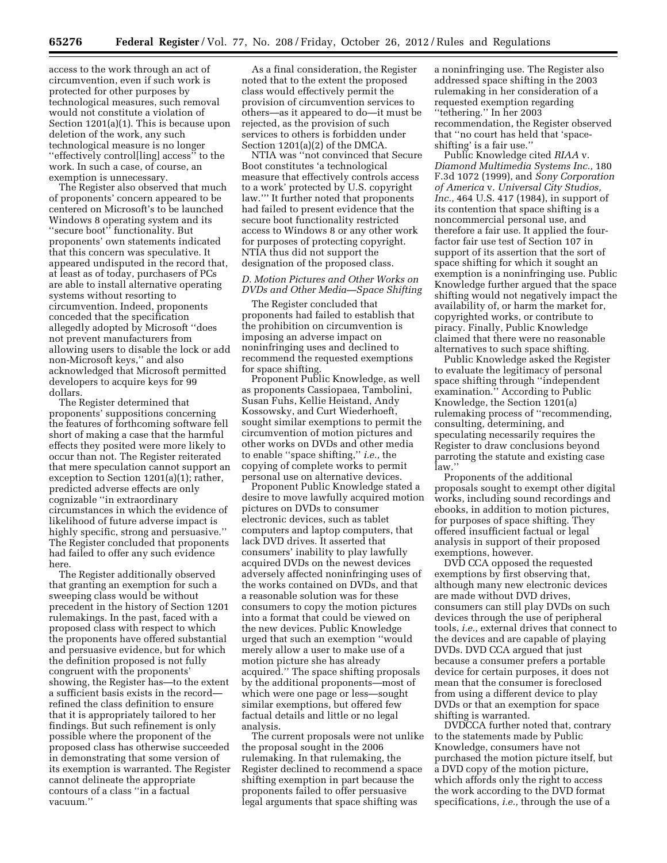access to the work through an act of circumvention, even if such work is protected for other purposes by technological measures, such removal would not constitute a violation of Section 1201(a)(1). This is because upon deletion of the work, any such technological measure is no longer ''effectively control[ling] access'' to the work. In such a case, of course, an exemption is unnecessary.

The Register also observed that much of proponents' concern appeared to be centered on Microsoft's to be launched Windows 8 operating system and its ''secure boot'' functionality. But proponents' own statements indicated that this concern was speculative. It appeared undisputed in the record that, at least as of today, purchasers of PCs are able to install alternative operating systems without resorting to circumvention. Indeed, proponents conceded that the specification allegedly adopted by Microsoft ''does not prevent manufacturers from allowing users to disable the lock or add non-Microsoft keys,'' and also acknowledged that Microsoft permitted developers to acquire keys for 99 dollars.

The Register determined that proponents' suppositions concerning the features of forthcoming software fell short of making a case that the harmful effects they posited were more likely to occur than not. The Register reiterated that mere speculation cannot support an exception to Section 1201(a)(1); rather, predicted adverse effects are only cognizable ''in extraordinary circumstances in which the evidence of likelihood of future adverse impact is highly specific, strong and persuasive.'' The Register concluded that proponents had failed to offer any such evidence here.

The Register additionally observed that granting an exemption for such a sweeping class would be without precedent in the history of Section 1201 rulemakings. In the past, faced with a proposed class with respect to which the proponents have offered substantial and persuasive evidence, but for which the definition proposed is not fully congruent with the proponents' showing, the Register has—to the extent a sufficient basis exists in the record refined the class definition to ensure that it is appropriately tailored to her findings. But such refinement is only possible where the proponent of the proposed class has otherwise succeeded in demonstrating that some version of its exemption is warranted. The Register cannot delineate the appropriate contours of a class ''in a factual vacuum.''

As a final consideration, the Register noted that to the extent the proposed class would effectively permit the provision of circumvention services to others—as it appeared to do—it must be rejected, as the provision of such services to others is forbidden under Section 1201(a)(2) of the DMCA.

NTIA was ''not convinced that Secure Boot constitutes 'a technological measure that effectively controls access to a work' protected by U.S. copyright law.''' It further noted that proponents had failed to present evidence that the secure boot functionality restricted access to Windows 8 or any other work for purposes of protecting copyright. NTIA thus did not support the designation of the proposed class.

# *D. Motion Pictures and Other Works on DVDs and Other Media—Space Shifting*

The Register concluded that proponents had failed to establish that the prohibition on circumvention is imposing an adverse impact on noninfringing uses and declined to recommend the requested exemptions for space shifting.

Proponent Public Knowledge, as well as proponents Cassiopaea, Tambolini, Susan Fuhs, Kellie Heistand, Andy Kossowsky, and Curt Wiederhoeft, sought similar exemptions to permit the circumvention of motion pictures and other works on DVDs and other media to enable ''space shifting,'' *i.e.,* the copying of complete works to permit personal use on alternative devices.

Proponent Public Knowledge stated a desire to move lawfully acquired motion pictures on DVDs to consumer electronic devices, such as tablet computers and laptop computers, that lack DVD drives. It asserted that consumers' inability to play lawfully acquired DVDs on the newest devices adversely affected noninfringing uses of the works contained on DVDs, and that a reasonable solution was for these consumers to copy the motion pictures into a format that could be viewed on the new devices. Public Knowledge urged that such an exemption ''would merely allow a user to make use of a motion picture she has already acquired.'' The space shifting proposals by the additional proponents—most of which were one page or less—sought similar exemptions, but offered few factual details and little or no legal analysis.

The current proposals were not unlike the proposal sought in the 2006 rulemaking. In that rulemaking, the Register declined to recommend a space shifting exemption in part because the proponents failed to offer persuasive legal arguments that space shifting was

a noninfringing use. The Register also addressed space shifting in the 2003 rulemaking in her consideration of a requested exemption regarding ''tethering.'' In her 2003 recommendation, the Register observed that ''no court has held that 'spaceshifting' is a fair use.''

Public Knowledge cited *RIAA* v. *Diamond Multimedia Systems Inc.,* 180 F.3d 1072 (1999), and *Sony Corporation of America* v. *Universal City Studios, Inc.,* 464 U.S. 417 (1984), in support of its contention that space shifting is a noncommercial personal use, and therefore a fair use. It applied the fourfactor fair use test of Section 107 in support of its assertion that the sort of space shifting for which it sought an exemption is a noninfringing use. Public Knowledge further argued that the space shifting would not negatively impact the availability of, or harm the market for, copyrighted works, or contribute to piracy. Finally, Public Knowledge claimed that there were no reasonable alternatives to such space shifting.

Public Knowledge asked the Register to evaluate the legitimacy of personal space shifting through ''independent examination.'' According to Public Knowledge, the Section 1201(a) rulemaking process of ''recommending, consulting, determining, and speculating necessarily requires the Register to draw conclusions beyond parroting the statute and existing case law.''

Proponents of the additional proposals sought to exempt other digital works, including sound recordings and ebooks, in addition to motion pictures, for purposes of space shifting. They offered insufficient factual or legal analysis in support of their proposed exemptions, however.

DVD CCA opposed the requested exemptions by first observing that, although many new electronic devices are made without DVD drives, consumers can still play DVDs on such devices through the use of peripheral tools, *i.e.,* external drives that connect to the devices and are capable of playing DVDs. DVD CCA argued that just because a consumer prefers a portable device for certain purposes, it does not mean that the consumer is foreclosed from using a different device to play DVDs or that an exemption for space shifting is warranted.

DVDCCA further noted that, contrary to the statements made by Public Knowledge, consumers have not purchased the motion picture itself, but a DVD copy of the motion picture, which affords only the right to access the work according to the DVD format specifications, *i.e.,* through the use of a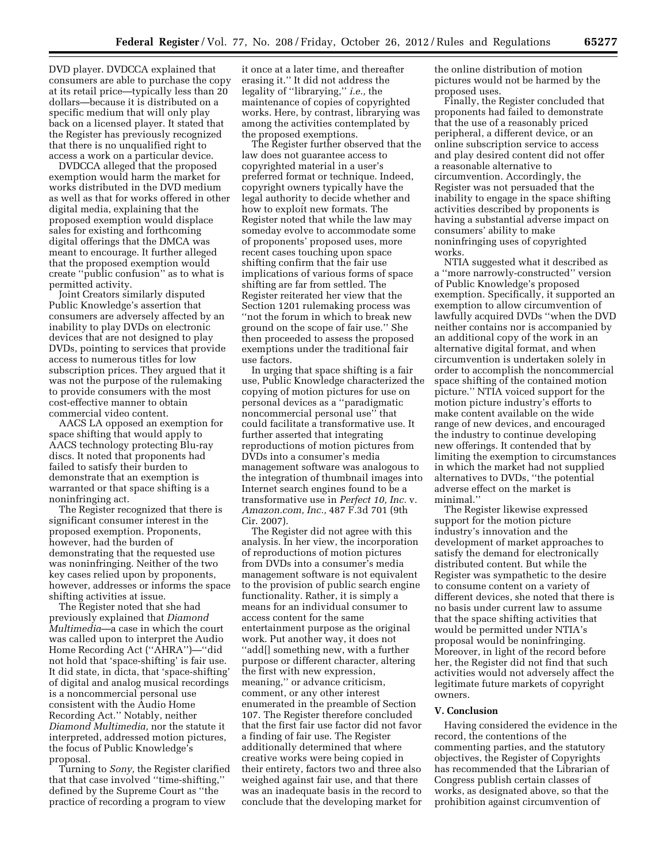DVD player. DVDCCA explained that consumers are able to purchase the copy at its retail price—typically less than 20 dollars—because it is distributed on a specific medium that will only play back on a licensed player. It stated that the Register has previously recognized that there is no unqualified right to access a work on a particular device.

DVDCCA alleged that the proposed exemption would harm the market for works distributed in the DVD medium as well as that for works offered in other digital media, explaining that the proposed exemption would displace sales for existing and forthcoming digital offerings that the DMCA was meant to encourage. It further alleged that the proposed exemption would create ''public confusion'' as to what is permitted activity.

Joint Creators similarly disputed Public Knowledge's assertion that consumers are adversely affected by an inability to play DVDs on electronic devices that are not designed to play DVDs, pointing to services that provide access to numerous titles for low subscription prices. They argued that it was not the purpose of the rulemaking to provide consumers with the most cost-effective manner to obtain commercial video content.

AACS LA opposed an exemption for space shifting that would apply to AACS technology protecting Blu-ray discs. It noted that proponents had failed to satisfy their burden to demonstrate that an exemption is warranted or that space shifting is a noninfringing act.

The Register recognized that there is significant consumer interest in the proposed exemption. Proponents, however, had the burden of demonstrating that the requested use was noninfringing. Neither of the two key cases relied upon by proponents, however, addresses or informs the space shifting activities at issue.

The Register noted that she had previously explained that *Diamond Multimedia*—a case in which the court was called upon to interpret the Audio Home Recording Act (''AHRA'')—''did not hold that 'space-shifting' is fair use. It did state, in dicta, that 'space-shifting' of digital and analog musical recordings is a noncommercial personal use consistent with the Audio Home Recording Act.'' Notably, neither *Diamond Multimedia,* nor the statute it interpreted, addressed motion pictures, the focus of Public Knowledge's proposal.

Turning to *Sony,* the Register clarified that that case involved ''time-shifting,'' defined by the Supreme Court as ''the practice of recording a program to view

it once at a later time, and thereafter erasing it.'' It did not address the legality of ''librarying,'' *i.e.,* the maintenance of copies of copyrighted works. Here, by contrast, librarying was among the activities contemplated by the proposed exemptions.

The Register further observed that the law does not guarantee access to copyrighted material in a user's preferred format or technique. Indeed, copyright owners typically have the legal authority to decide whether and how to exploit new formats. The Register noted that while the law may someday evolve to accommodate some of proponents' proposed uses, more recent cases touching upon space shifting confirm that the fair use implications of various forms of space shifting are far from settled. The Register reiterated her view that the Section 1201 rulemaking process was ''not the forum in which to break new ground on the scope of fair use.'' She then proceeded to assess the proposed exemptions under the traditional fair use factors.

In urging that space shifting is a fair use, Public Knowledge characterized the copying of motion pictures for use on personal devices as a ''paradigmatic noncommercial personal use'' that could facilitate a transformative use. It further asserted that integrating reproductions of motion pictures from DVDs into a consumer's media management software was analogous to the integration of thumbnail images into Internet search engines found to be a transformative use in *Perfect 10, Inc.* v. *Amazon.com, Inc.,* 487 F.3d 701 (9th Cir. 2007).

The Register did not agree with this analysis. In her view, the incorporation of reproductions of motion pictures from DVDs into a consumer's media management software is not equivalent to the provision of public search engine functionality. Rather, it is simply a means for an individual consumer to access content for the same entertainment purpose as the original work. Put another way, it does not ''add[] something new, with a further purpose or different character, altering the first with new expression, meaning,'' or advance criticism, comment, or any other interest enumerated in the preamble of Section 107. The Register therefore concluded that the first fair use factor did not favor a finding of fair use. The Register additionally determined that where creative works were being copied in their entirety, factors two and three also weighed against fair use, and that there was an inadequate basis in the record to conclude that the developing market for the online distribution of motion pictures would not be harmed by the proposed uses.

Finally, the Register concluded that proponents had failed to demonstrate that the use of a reasonably priced peripheral, a different device, or an online subscription service to access and play desired content did not offer a reasonable alternative to circumvention. Accordingly, the Register was not persuaded that the inability to engage in the space shifting activities described by proponents is having a substantial adverse impact on consumers' ability to make noninfringing uses of copyrighted works.

NTIA suggested what it described as a ''more narrowly-constructed'' version of Public Knowledge's proposed exemption. Specifically, it supported an exemption to allow circumvention of lawfully acquired DVDs ''when the DVD neither contains nor is accompanied by an additional copy of the work in an alternative digital format, and when circumvention is undertaken solely in order to accomplish the noncommercial space shifting of the contained motion picture.'' NTIA voiced support for the motion picture industry's efforts to make content available on the wide range of new devices, and encouraged the industry to continue developing new offerings. It contended that by limiting the exemption to circumstances in which the market had not supplied alternatives to DVDs, ''the potential adverse effect on the market is minimal.''

The Register likewise expressed support for the motion picture industry's innovation and the development of market approaches to satisfy the demand for electronically distributed content. But while the Register was sympathetic to the desire to consume content on a variety of different devices, she noted that there is no basis under current law to assume that the space shifting activities that would be permitted under NTIA's proposal would be noninfringing. Moreover, in light of the record before her, the Register did not find that such activities would not adversely affect the legitimate future markets of copyright owners.

#### **V. Conclusion**

Having considered the evidence in the record, the contentions of the commenting parties, and the statutory objectives, the Register of Copyrights has recommended that the Librarian of Congress publish certain classes of works, as designated above, so that the prohibition against circumvention of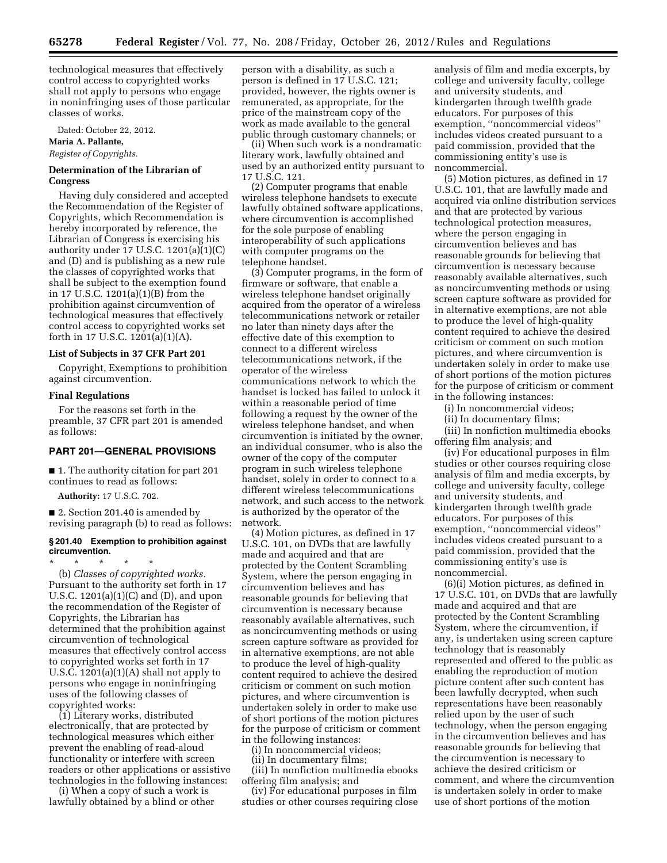technological measures that effectively control access to copyrighted works shall not apply to persons who engage in noninfringing uses of those particular classes of works.

Dated: October 22, 2012.

**Maria A. Pallante,** 

*Register of Copyrights.* 

# **Determination of the Librarian of Congress**

Having duly considered and accepted the Recommendation of the Register of Copyrights, which Recommendation is hereby incorporated by reference, the Librarian of Congress is exercising his authority under  $17$  U.S.C.  $1201(a)(1)(C)$ and (D) and is publishing as a new rule the classes of copyrighted works that shall be subject to the exemption found in 17 U.S.C. 1201(a)(1)(B) from the prohibition against circumvention of technological measures that effectively control access to copyrighted works set forth in 17 U.S.C. 1201(a)(1)(A).

#### **List of Subjects in 37 CFR Part 201**

Copyright, Exemptions to prohibition against circumvention.

#### **Final Regulations**

For the reasons set forth in the preamble, 37 CFR part 201 is amended as follows:

# **PART 201—GENERAL PROVISIONS**

■ 1. The authority citation for part 201 continues to read as follows:

**Authority:** 17 U.S.C. 702.

■ 2. Section 201.40 is amended by revising paragraph (b) to read as follows:

#### **§ 201.40 Exemption to prohibition against circumvention.**

\* \* \* \* \* (b) *Classes of copyrighted works.*  Pursuant to the authority set forth in 17 U.S.C. 1201(a)(1)(C) and (D), and upon the recommendation of the Register of Copyrights, the Librarian has determined that the prohibition against circumvention of technological measures that effectively control access to copyrighted works set forth in 17 U.S.C. 1201(a)(1)(A) shall not apply to persons who engage in noninfringing uses of the following classes of copyrighted works:

(1) Literary works, distributed electronically, that are protected by technological measures which either prevent the enabling of read-aloud functionality or interfere with screen readers or other applications or assistive technologies in the following instances:

(i) When a copy of such a work is lawfully obtained by a blind or other

person with a disability, as such a person is defined in 17 U.S.C. 121; provided, however, the rights owner is remunerated, as appropriate, for the price of the mainstream copy of the work as made available to the general public through customary channels; or

(ii) When such work is a nondramatic literary work, lawfully obtained and used by an authorized entity pursuant to 17 U.S.C. 121.

(2) Computer programs that enable wireless telephone handsets to execute lawfully obtained software applications, where circumvention is accomplished for the sole purpose of enabling interoperability of such applications with computer programs on the telephone handset.

(3) Computer programs, in the form of firmware or software, that enable a wireless telephone handset originally acquired from the operator of a wireless telecommunications network or retailer no later than ninety days after the effective date of this exemption to connect to a different wireless telecommunications network, if the operator of the wireless communications network to which the handset is locked has failed to unlock it within a reasonable period of time following a request by the owner of the wireless telephone handset, and when circumvention is initiated by the owner, an individual consumer, who is also the owner of the copy of the computer program in such wireless telephone handset, solely in order to connect to a different wireless telecommunications network, and such access to the network is authorized by the operator of the network.

(4) Motion pictures, as defined in 17 U.S.C. 101, on DVDs that are lawfully made and acquired and that are protected by the Content Scrambling System, where the person engaging in circumvention believes and has reasonable grounds for believing that circumvention is necessary because reasonably available alternatives, such as noncircumventing methods or using screen capture software as provided for in alternative exemptions, are not able to produce the level of high-quality content required to achieve the desired criticism or comment on such motion pictures, and where circumvention is undertaken solely in order to make use of short portions of the motion pictures for the purpose of criticism or comment in the following instances:

(i) In noncommercial videos;

(ii) In documentary films;

(iii) In nonfiction multimedia ebooks offering film analysis; and

(iv) For educational purposes in film studies or other courses requiring close

analysis of film and media excerpts, by college and university faculty, college and university students, and kindergarten through twelfth grade educators. For purposes of this exemption, ''noncommercial videos'' includes videos created pursuant to a paid commission, provided that the commissioning entity's use is noncommercial.

(5) Motion pictures, as defined in 17 U.S.C. 101, that are lawfully made and acquired via online distribution services and that are protected by various technological protection measures, where the person engaging in circumvention believes and has reasonable grounds for believing that circumvention is necessary because reasonably available alternatives, such as noncircumventing methods or using screen capture software as provided for in alternative exemptions, are not able to produce the level of high-quality content required to achieve the desired criticism or comment on such motion pictures, and where circumvention is undertaken solely in order to make use of short portions of the motion pictures for the purpose of criticism or comment in the following instances:

(i) In noncommercial videos;

(ii) In documentary films;

(iii) In nonfiction multimedia ebooks offering film analysis; and

(iv) For educational purposes in film studies or other courses requiring close analysis of film and media excerpts, by college and university faculty, college and university students, and kindergarten through twelfth grade educators. For purposes of this exemption, ''noncommercial videos'' includes videos created pursuant to a paid commission, provided that the commissioning entity's use is noncommercial.

(6)(i) Motion pictures, as defined in 17 U.S.C. 101, on DVDs that are lawfully made and acquired and that are protected by the Content Scrambling System, where the circumvention, if any, is undertaken using screen capture technology that is reasonably represented and offered to the public as enabling the reproduction of motion picture content after such content has been lawfully decrypted, when such representations have been reasonably relied upon by the user of such technology, when the person engaging in the circumvention believes and has reasonable grounds for believing that the circumvention is necessary to achieve the desired criticism or comment, and where the circumvention is undertaken solely in order to make use of short portions of the motion